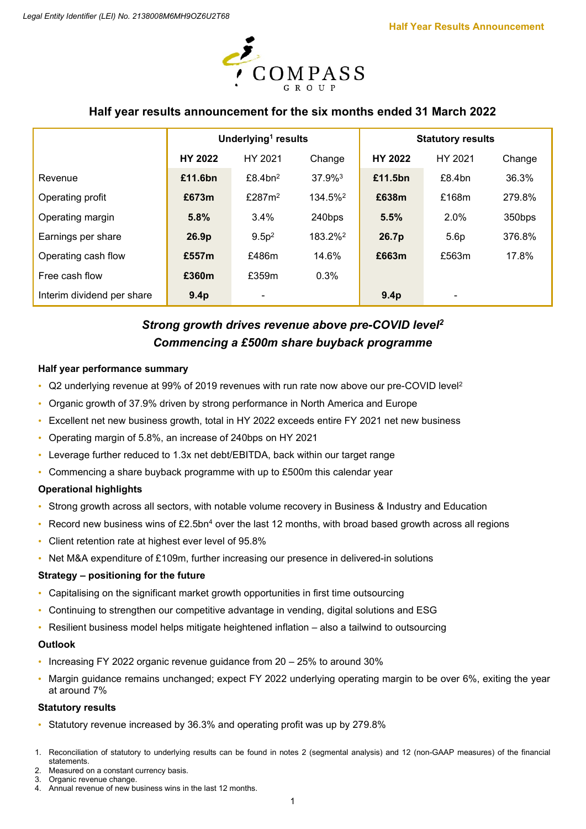

# **Half year results announcement for the six months ended 31 March 2022**

|                            | Underlying <sup>1</sup> results |                        |                     | <b>Statutory results</b> |                  |        |  |
|----------------------------|---------------------------------|------------------------|---------------------|--------------------------|------------------|--------|--|
|                            | <b>HY 2022</b>                  | HY 2021                | Change              | <b>HY 2022</b>           | HY 2021          | Change |  |
| Revenue                    | £11.6bn                         | $£8.4$ bn <sup>2</sup> | 37.9% <sup>3</sup>  | £11.5bn                  | £8.4bn           | 36.3%  |  |
| Operating profit           | £673m                           | £287m <sup>2</sup>     | 134.5% <sup>2</sup> | £638m                    | £168m            | 279.8% |  |
| Operating margin           | 5.8%                            | 3.4%                   | 240bps              | 5.5%                     | 2.0%             | 350bps |  |
| Earnings per share         | 26.9 <sub>p</sub>               | 9.5p <sup>2</sup>      | 183.2% <sup>2</sup> | 26.7p                    | 5.6 <sub>p</sub> | 376.8% |  |
| Operating cash flow        | £557m                           | £486m                  | 14.6%               | £663m                    | £563m            | 17.8%  |  |
| Free cash flow             | £360m                           | £359m                  | 0.3%                |                          |                  |        |  |
| Interim dividend per share | 9.4p                            |                        |                     | 9.4p                     |                  |        |  |

# *Strong growth drives revenue above pre-COVID level2 Commencing a £500m share buyback programme*

### **Half year performance summary**

- Q2 underlying revenue at 99% of 2019 revenues with run rate now above our pre-COVID level2
- Organic growth of 37.9% driven by strong performance in North America and Europe
- Excellent net new business growth, total in HY 2022 exceeds entire FY 2021 net new business
- Operating margin of 5.8%, an increase of 240bps on HY 2021
- Leverage further reduced to 1.3x net debt/EBITDA, back within our target range
- Commencing a share buyback programme with up to £500m this calendar year

# **Operational highlights**

- Strong growth across all sectors, with notable volume recovery in Business & Industry and Education
- Record new business wins of £2.5bn<sup>4</sup> over the last 12 months, with broad based growth across all regions
- Client retention rate at highest ever level of 95.8%
- Net M&A expenditure of £109m, further increasing our presence in delivered-in solutions

# **Strategy – positioning for the future**

- Capitalising on the significant market growth opportunities in first time outsourcing
- Continuing to strengthen our competitive advantage in vending, digital solutions and ESG
- Resilient business model helps mitigate heightened inflation also a tailwind to outsourcing

### **Outlook**

- Increasing FY 2022 organic revenue guidance from 20 25% to around 30%
- Margin guidance remains unchanged; expect FY 2022 underlying operating margin to be over 6%, exiting the year at around 7%

### **Statutory results**

- Statutory revenue increased by 36.3% and operating profit was up by 279.8%
- 1. Reconciliation of statutory to underlying results can be found in notes 2 (segmental analysis) and 12 (non-GAAP measures) of the financial statements.
- Measured on a constant currency basis. 3. Organic revenue change.
- 4. Annual revenue of new business wins in the last 12 months.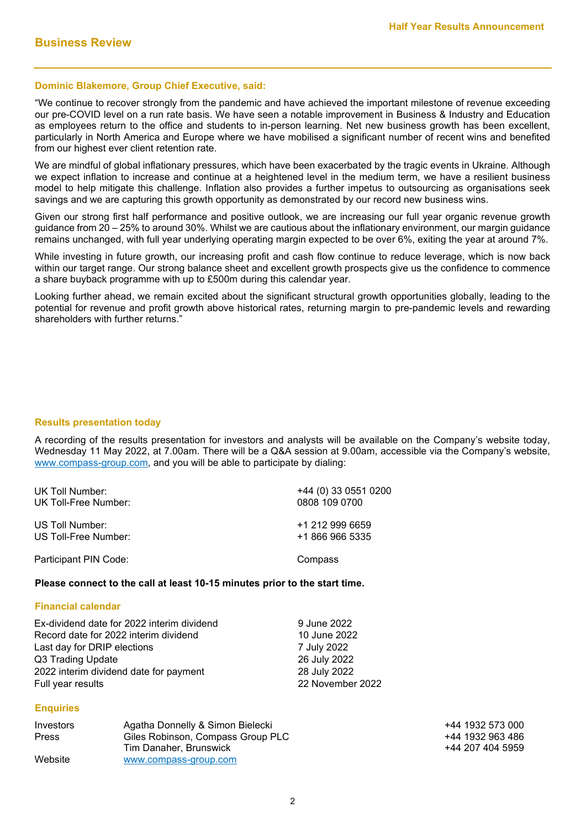### **Dominic Blakemore, Group Chief Executive, said:**

"We continue to recover strongly from the pandemic and have achieved the important milestone of revenue exceeding our pre-COVID level on a run rate basis. We have seen a notable improvement in Business & Industry and Education as employees return to the office and students to in-person learning. Net new business growth has been excellent, particularly in North America and Europe where we have mobilised a significant number of recent wins and benefited from our highest ever client retention rate.

We are mindful of global inflationary pressures, which have been exacerbated by the tragic events in Ukraine. Although we expect inflation to increase and continue at a heightened level in the medium term, we have a resilient business model to help mitigate this challenge. Inflation also provides a further impetus to outsourcing as organisations seek savings and we are capturing this growth opportunity as demonstrated by our record new business wins.

Given our strong first half performance and positive outlook, we are increasing our full year organic revenue growth guidance from 20 – 25% to around 30%. Whilst we are cautious about the inflationary environment, our margin guidance remains unchanged, with full year underlying operating margin expected to be over 6%, exiting the year at around 7%.

While investing in future growth, our increasing profit and cash flow continue to reduce leverage, which is now back within our target range. Our strong balance sheet and excellent growth prospects give us the confidence to commence a share buyback programme with up to £500m during this calendar year.

Looking further ahead, we remain excited about the significant structural growth opportunities globally, leading to the potential for revenue and profit growth above historical rates, returning margin to pre-pandemic levels and rewarding shareholders with further returns."

### **Results presentation today**

A recording of the results presentation for investors and analysts will be available on the Company's website today, Wednesday 11 May 2022, at 7.00am. There will be a Q&A session at 9.00am, accessible via the Company's website, [www.compass-group.com,](http://www.compass-group.com/) and you will be able to participate by dialing:

| UK Toll Number:       | +44 (0) 33 0551 0200 |
|-----------------------|----------------------|
| UK Toll-Free Number:  | 0808 109 0700        |
| US Toll Number:       | +1 212 999 6659      |
| US Toll-Free Number:  | +1 866 966 5335      |
| Participant PIN Code: | Compass              |

### **Please connect to the call at least 10-15 minutes prior to the start time.**

#### **Financial calendar**

| Ex-dividend date for 2022 interim dividend | 9 June 2022      |
|--------------------------------------------|------------------|
| Record date for 2022 interim dividend      | 10 June 2022     |
| Last day for DRIP elections                | 7 July 2022      |
| Q3 Trading Update                          | 26 July 2022     |
| 2022 interim dividend date for payment     | 28 July 2022     |
| Full year results                          | 22 November 2022 |

### **Enquiries**

| Investors    | Agatha Donnelly & Simon Bielecki  |
|--------------|-----------------------------------|
| <b>Press</b> | Giles Robinson, Compass Group PLC |
|              | Tim Danaher, Brunswick            |
| Website      | www.compass-group.com             |

+44 1932 573 000 +44 1932 963 486 +44 207 404 5959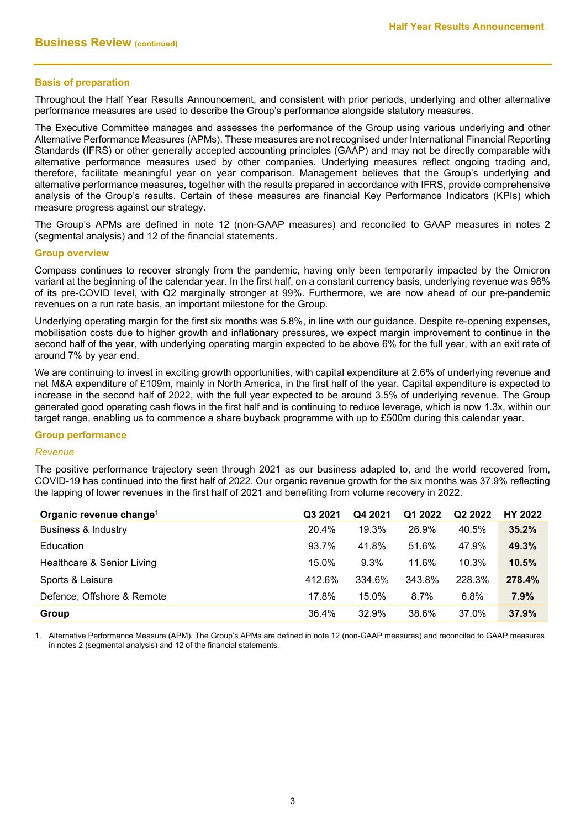## **Basis of preparation**

Throughout the Half Year Results Announcement, and consistent with prior periods, underlying and other alternative performance measures are used to describe the Group's performance alongside statutory measures.

The Executive Committee manages and assesses the performance of the Group using various underlying and other Alternative Performance Measures (APMs). These measures are not recognised under International Financial Reporting Standards (IFRS) or other generally accepted accounting principles (GAAP) and may not be directly comparable with alternative performance measures used by other companies. Underlying measures reflect ongoing trading and, therefore, facilitate meaningful year on year comparison. Management believes that the Group's underlying and alternative performance measures, together with the results prepared in accordance with IFRS, provide comprehensive analysis of the Group's results. Certain of these measures are financial Key Performance Indicators (KPIs) which measure progress against our strategy.

The Group's APMs are defined in note 12 (non-GAAP measures) and reconciled to GAAP measures in notes 2 (segmental analysis) and 12 of the financial statements.

#### **Group overview**

Compass continues to recover strongly from the pandemic, having only been temporarily impacted by the Omicron variant at the beginning of the calendar year. In the first half, on a constant currency basis, underlying revenue was 98% of its pre-COVID level, with Q2 marginally stronger at 99%. Furthermore, we are now ahead of our pre-pandemic revenues on a run rate basis, an important milestone for the Group.

Underlying operating margin for the first six months was 5.8%, in line with our guidance. Despite re-opening expenses, mobilisation costs due to higher growth and inflationary pressures, we expect margin improvement to continue in the second half of the year, with underlying operating margin expected to be above 6% for the full year, with an exit rate of around 7% by year end.

We are continuing to invest in exciting growth opportunities, with capital expenditure at 2.6% of underlying revenue and net M&A expenditure of £109m, mainly in North America, in the first half of the year. Capital expenditure is expected to increase in the second half of 2022, with the full year expected to be around 3.5% of underlying revenue. The Group generated good operating cash flows in the first half and is continuing to reduce leverage, which is now 1.3x, within our target range, enabling us to commence a share buyback programme with up to £500m during this calendar year.

### **Group performance**

#### *Revenue*

The positive performance trajectory seen through 2021 as our business adapted to, and the world recovered from, COVID-19 has continued into the first half of 2022. Our organic revenue growth for the six months was 37.9% reflecting the lapping of lower revenues in the first half of 2021 and benefiting from volume recovery in 2022.

| Organic revenue change <sup>1</sup> | Q3 2021 | Q4 2021  | Q1 2022 | Q <sub>2</sub> 2022 | <b>HY 2022</b> |
|-------------------------------------|---------|----------|---------|---------------------|----------------|
| <b>Business &amp; Industry</b>      | 20.4%   | 19.3%    | 26.9%   | 40.5%               | 35.2%          |
| Education                           | 93.7%   | 41.8%    | 51.6%   | 47.9%               | 49.3%          |
| Healthcare & Senior Living          | 15.0%   | 9.3%     | 11.6%   | 10.3%               | 10.5%          |
| Sports & Leisure                    | 412.6%  | 334.6%   | 343.8%  | 228.3%              | 278.4%         |
| Defence, Offshore & Remote          | 17.8%   | $15.0\%$ | 8.7%    | 6.8%                | 7.9%           |
| Group                               | 36.4%   | 32.9%    | 38.6%   | 37.0%               | 37.9%          |

1. Alternative Performance Measure (APM). The Group's APMs are defined in note 12 (non-GAAP measures) and reconciled to GAAP measures in notes 2 (segmental analysis) and 12 of the financial statements.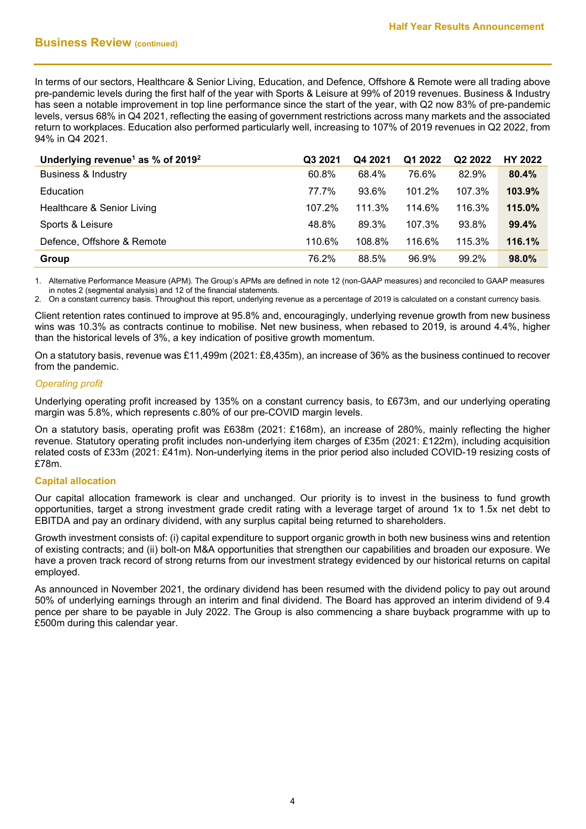In terms of our sectors, Healthcare & Senior Living, Education, and Defence, Offshore & Remote were all trading above pre-pandemic levels during the first half of the year with Sports & Leisure at 99% of 2019 revenues. Business & Industry has seen a notable improvement in top line performance since the start of the year, with Q2 now 83% of pre-pandemic levels, versus 68% in Q4 2021, reflecting the easing of government restrictions across many markets and the associated return to workplaces. Education also performed particularly well, increasing to 107% of 2019 revenues in Q2 2022, from 94% in Q4 2021.

| Underlying revenue <sup>1</sup> as % of 2019 <sup>2</sup> | Q3 2021 | Q4 2021 | Q1 2022 | Q <sub>2</sub> 2022 | <b>HY 2022</b> |
|-----------------------------------------------------------|---------|---------|---------|---------------------|----------------|
| <b>Business &amp; Industry</b>                            | 60.8%   | 68.4%   | 76.6%   | 82.9%               | 80.4%          |
| Education                                                 | 77.7%   | 93.6%   | 101.2%  | 107.3%              | 103.9%         |
| Healthcare & Senior Living                                | 107.2%  | 111.3%  | 114.6%  | 116.3%              | 115.0%         |
| Sports & Leisure                                          | 48.8%   | 89.3%   | 107.3%  | 93.8%               | 99.4%          |
| Defence, Offshore & Remote                                | 110.6%  | 108.8%  | 116.6%  | 115.3%              | 116.1%         |
| Group                                                     | 76.2%   | 88.5%   | 96.9%   | 99.2%               | 98.0%          |

1. Alternative Performance Measure (APM). The Group's APMs are defined in note 12 (non-GAAP measures) and reconciled to GAAP measures in notes 2 (segmental analysis) and 12 of the financial statements.

2. On a constant currency basis. Throughout this report, underlying revenue as a percentage of 2019 is calculated on a constant currency basis.

Client retention rates continued to improve at 95.8% and, encouragingly, underlying revenue growth from new business wins was 10.3% as contracts continue to mobilise. Net new business, when rebased to 2019, is around 4.4%, higher than the historical levels of 3%, a key indication of positive growth momentum.

On a statutory basis, revenue was £11,499m (2021: £8,435m), an increase of 36% as the business continued to recover from the pandemic.

### *Operating profit*

Underlying operating profit increased by 135% on a constant currency basis, to £673m, and our underlying operating margin was 5.8%, which represents c.80% of our pre-COVID margin levels.

On a statutory basis, operating profit was £638m (2021: £168m), an increase of 280%, mainly reflecting the higher revenue. Statutory operating profit includes non-underlying item charges of £35m (2021: £122m), including acquisition related costs of £33m (2021: £41m). Non-underlying items in the prior period also included COVID-19 resizing costs of £78m.

# **Capital allocation**

Our capital allocation framework is clear and unchanged. Our priority is to invest in the business to fund growth opportunities, target a strong investment grade credit rating with a leverage target of around 1x to 1.5x net debt to EBITDA and pay an ordinary dividend, with any surplus capital being returned to shareholders.

Growth investment consists of: (i) capital expenditure to support organic growth in both new business wins and retention of existing contracts; and (ii) bolt-on M&A opportunities that strengthen our capabilities and broaden our exposure. We have a proven track record of strong returns from our investment strategy evidenced by our historical returns on capital employed.

As announced in November 2021, the ordinary dividend has been resumed with the dividend policy to pay out around 50% of underlying earnings through an interim and final dividend. The Board has approved an interim dividend of 9.4 pence per share to be payable in July 2022. The Group is also commencing a share buyback programme with up to £500m during this calendar year.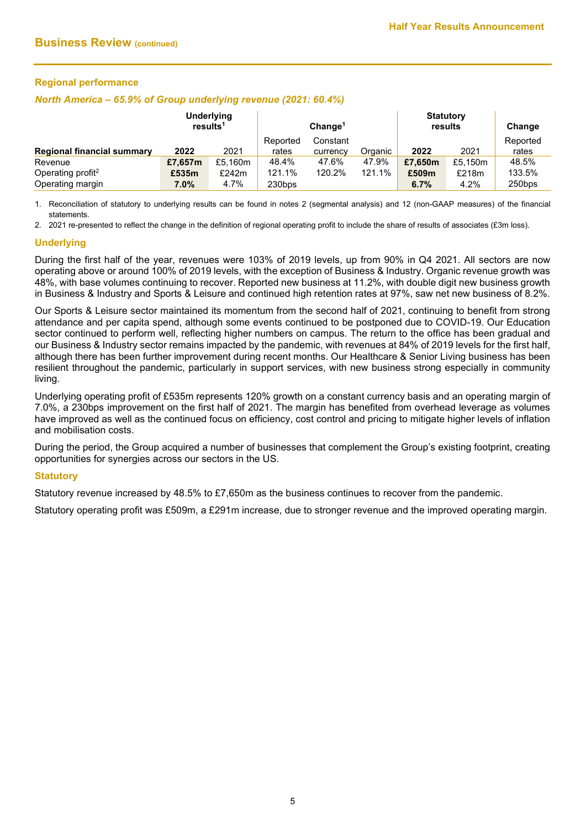## **Regional performance**

#### *North America – 65.9% of Group underlying revenue (2021: 60.4%)*

|                                   | <b>Underlying</b><br>results <sup>1</sup> |         | Change <sup>1</sup> |          |         | <b>Statutory</b><br>results |         | Change   |
|-----------------------------------|-------------------------------------------|---------|---------------------|----------|---------|-----------------------------|---------|----------|
|                                   |                                           |         | Reported            | Constant |         |                             |         | Reported |
| <b>Regional financial summary</b> | 2022                                      | 2021    | rates               | currency | Organic | 2022                        | 2021    | rates    |
| Revenue                           | £7,657m                                   | £5,160m | 48.4%               | 47.6%    | 47.9%   | £7.650m                     | £5.150m | 48.5%    |
| Operating profit <sup>2</sup>     | £535m                                     | £242m   | 121.1%              | 120.2%   | 121.1%  | £509m                       | £218m   | 133.5%   |
| Operating margin                  | $7.0\%$                                   | 4.7%    | 230bps              |          |         | 6.7%                        | 4.2%    | 250bps   |

1. Reconciliation of statutory to underlying results can be found in notes 2 (segmental analysis) and 12 (non-GAAP measures) of the financial statements.

2. 2021 re-presented to reflect the change in the definition of regional operating profit to include the share of results of associates (£3m loss).

### **Underlying**

During the first half of the year, revenues were 103% of 2019 levels, up from 90% in Q4 2021. All sectors are now operating above or around 100% of 2019 levels, with the exception of Business & Industry. Organic revenue growth was 48%, with base volumes continuing to recover. Reported new business at 11.2%, with double digit new business growth in Business & Industry and Sports & Leisure and continued high retention rates at 97%, saw net new business of 8.2%.

Our Sports & Leisure sector maintained its momentum from the second half of 2021, continuing to benefit from strong attendance and per capita spend, although some events continued to be postponed due to COVID-19. Our Education sector continued to perform well, reflecting higher numbers on campus. The return to the office has been gradual and our Business & Industry sector remains impacted by the pandemic, with revenues at 84% of 2019 levels for the first half, although there has been further improvement during recent months. Our Healthcare & Senior Living business has been resilient throughout the pandemic, particularly in support services, with new business strong especially in community living.

Underlying operating profit of £535m represents 120% growth on a constant currency basis and an operating margin of 7.0%, a 230bps improvement on the first half of 2021. The margin has benefited from overhead leverage as volumes have improved as well as the continued focus on efficiency, cost control and pricing to mitigate higher levels of inflation and mobilisation costs.

During the period, the Group acquired a number of businesses that complement the Group's existing footprint, creating opportunities for synergies across our sectors in the US.

### **Statutory**

Statutory revenue increased by 48.5% to £7,650m as the business continues to recover from the pandemic.

Statutory operating profit was £509m, a £291m increase, due to stronger revenue and the improved operating margin.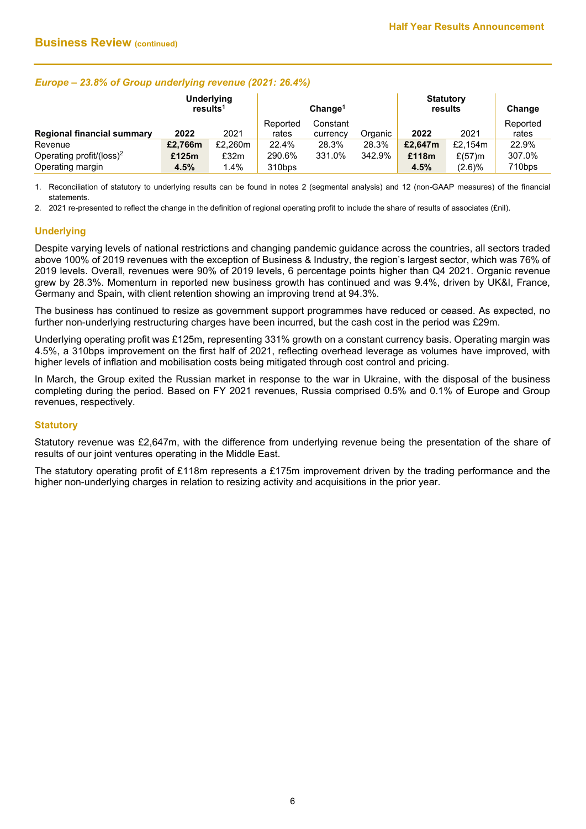## *Europe – 23.8% of Group underlying revenue (2021: 26.4%)*

|                                      | Underlying<br>results <sup>1</sup> |         | Change <sup>1</sup> |          |         | <b>Statutory</b><br>results |           | Change   |
|--------------------------------------|------------------------------------|---------|---------------------|----------|---------|-----------------------------|-----------|----------|
|                                      |                                    |         | Reported            | Constant |         |                             |           | Reported |
| <b>Regional financial summary</b>    | 2022                               | 2021    | rates               | currency | Organic | 2022                        | 2021      | rates    |
| Revenue                              | £2,766m                            | £2,260m | 22.4%               | 28.3%    | 28.3%   | £2,647m                     | £2,154m   | 22.9%    |
| Operating profit/(loss) <sup>2</sup> | £125m                              | £32m    | 290.6%              | 331.0%   | 342.9%  | £118m                       | $£(57)$ m | 307.0%   |
| Operating margin                     | 4.5%                               | $1.4\%$ | 310bps              |          |         | 4.5%                        | (2.6)%    | 710bps   |

1. Reconciliation of statutory to underlying results can be found in notes 2 (segmental analysis) and 12 (non-GAAP measures) of the financial statements.

2. 2021 re-presented to reflect the change in the definition of regional operating profit to include the share of results of associates (£nil).

# **Underlying**

Despite varying levels of national restrictions and changing pandemic guidance across the countries, all sectors traded above 100% of 2019 revenues with the exception of Business & Industry, the region's largest sector, which was 76% of 2019 levels. Overall, revenues were 90% of 2019 levels, 6 percentage points higher than Q4 2021. Organic revenue grew by 28.3%. Momentum in reported new business growth has continued and was 9.4%, driven by UK&I, France, Germany and Spain, with client retention showing an improving trend at 94.3%.

The business has continued to resize as government support programmes have reduced or ceased. As expected, no further non-underlying restructuring charges have been incurred, but the cash cost in the period was £29m.

Underlying operating profit was £125m, representing 331% growth on a constant currency basis. Operating margin was 4.5%, a 310bps improvement on the first half of 2021, reflecting overhead leverage as volumes have improved, with higher levels of inflation and mobilisation costs being mitigated through cost control and pricing.

In March, the Group exited the Russian market in response to the war in Ukraine, with the disposal of the business completing during the period*.* Based on FY 2021 revenues, Russia comprised 0.5% and 0.1% of Europe and Group revenues, respectively.

### **Statutory**

Statutory revenue was £2,647m, with the difference from underlying revenue being the presentation of the share of results of our joint ventures operating in the Middle East.

The statutory operating profit of £118m represents a £175m improvement driven by the trading performance and the higher non-underlying charges in relation to resizing activity and acquisitions in the prior year.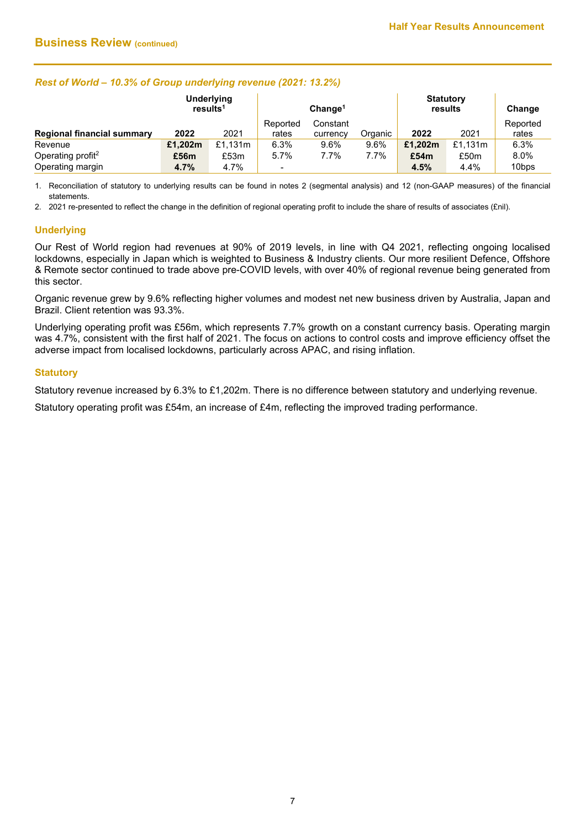# *Rest of World – 10.3% of Group underlying revenue (2021: 13.2%)*

|                               | <b>Underlying</b><br>results <sup>1</sup> |         | Change <sup>1</sup>      |          |         | <b>Statutory</b><br>results |         | Change            |
|-------------------------------|-------------------------------------------|---------|--------------------------|----------|---------|-----------------------------|---------|-------------------|
|                               |                                           |         | Reported                 | Constant |         |                             |         | Reported          |
| Regional financial summary    | 2022                                      | 2021    | rates                    | currency | Organic | 2022                        | 2021    | rates             |
| Revenue                       | £1,202m                                   | £1,131m | 6.3%                     | 9.6%     | 9.6%    | £1,202m                     | £1,131m | 6.3%              |
| Operating profit <sup>2</sup> | £56m                                      | £53m    | 5.7%                     | 7.7%     | 7.7%    | £54m                        | £50m    | 8.0%              |
| Operating margin              | 4.7%                                      | 4.7%    | $\overline{\phantom{0}}$ |          |         | 4.5%                        | 4.4%    | 10 <sub>bps</sub> |

1. Reconciliation of statutory to underlying results can be found in notes 2 (segmental analysis) and 12 (non-GAAP measures) of the financial statements.

2. 2021 re-presented to reflect the change in the definition of regional operating profit to include the share of results of associates (£nil).

# **Underlying**

Our Rest of World region had revenues at 90% of 2019 levels, in line with Q4 2021, reflecting ongoing localised lockdowns, especially in Japan which is weighted to Business & Industry clients. Our more resilient Defence, Offshore & Remote sector continued to trade above pre-COVID levels, with over 40% of regional revenue being generated from this sector.

Organic revenue grew by 9.6% reflecting higher volumes and modest net new business driven by Australia, Japan and Brazil. Client retention was 93.3%.

Underlying operating profit was £56m, which represents 7.7% growth on a constant currency basis. Operating margin was 4.7%, consistent with the first half of 2021. The focus on actions to control costs and improve efficiency offset the adverse impact from localised lockdowns, particularly across APAC, and rising inflation.

### **Statutory**

Statutory revenue increased by 6.3% to £1,202m. There is no difference between statutory and underlying revenue.

Statutory operating profit was £54m, an increase of £4m, reflecting the improved trading performance.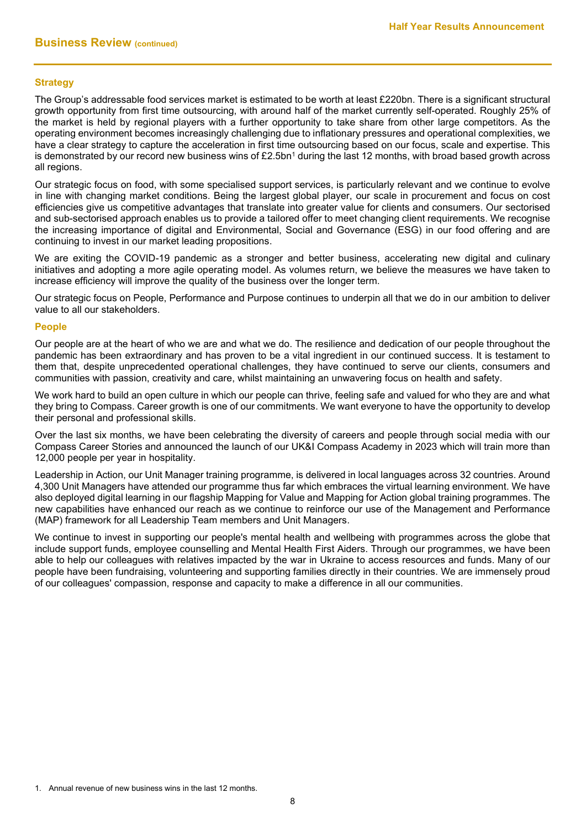## **Strategy**

The Group's addressable food services market is estimated to be worth at least £220bn. There is a significant structural growth opportunity from first time outsourcing, with around half of the market currently self-operated. Roughly 25% of the market is held by regional players with a further opportunity to take share from other large competitors. As the operating environment becomes increasingly challenging due to inflationary pressures and operational complexities, we have a clear strategy to capture the acceleration in first time outsourcing based on our focus, scale and expertise. This is demonstrated by our record new business wins of £2.5bn<sup>1</sup> during the last 12 months, with broad based growth across all regions.

Our strategic focus on food, with some specialised support services, is particularly relevant and we continue to evolve in line with changing market conditions. Being the largest global player, our scale in procurement and focus on cost efficiencies give us competitive advantages that translate into greater value for clients and consumers. Our sectorised and sub-sectorised approach enables us to provide a tailored offer to meet changing client requirements. We recognise the increasing importance of digital and Environmental, Social and Governance (ESG) in our food offering and are continuing to invest in our market leading propositions.

We are exiting the COVID-19 pandemic as a stronger and better business, accelerating new digital and culinary initiatives and adopting a more agile operating model. As volumes return, we believe the measures we have taken to increase efficiency will improve the quality of the business over the longer term.

Our strategic focus on People, Performance and Purpose continues to underpin all that we do in our ambition to deliver value to all our stakeholders.

### **People**

Our people are at the heart of who we are and what we do. The resilience and dedication of our people throughout the pandemic has been extraordinary and has proven to be a vital ingredient in our continued success. It is testament to them that, despite unprecedented operational challenges, they have continued to serve our clients, consumers and communities with passion, creativity and care, whilst maintaining an unwavering focus on health and safety.

We work hard to build an open culture in which our people can thrive, feeling safe and valued for who they are and what they bring to Compass. Career growth is one of our commitments. We want everyone to have the opportunity to develop their personal and professional skills.

Over the last six months, we have been celebrating the diversity of careers and people through social media with our Compass Career Stories and announced the launch of our UK&I Compass Academy in 2023 which will train more than 12,000 people per year in hospitality.

Leadership in Action, our Unit Manager training programme, is delivered in local languages across 32 countries. Around 4,300 Unit Managers have attended our programme thus far which embraces the virtual learning environment. We have also deployed digital learning in our flagship Mapping for Value and Mapping for Action global training programmes. The new capabilities have enhanced our reach as we continue to reinforce our use of the Management and Performance (MAP) framework for all Leadership Team members and Unit Managers.

We continue to invest in supporting our people's mental health and wellbeing with programmes across the globe that include support funds, employee counselling and Mental Health First Aiders. Through our programmes, we have been able to help our colleagues with relatives impacted by the war in Ukraine to access resources and funds. Many of our people have been fundraising, volunteering and supporting families directly in their countries. We are immensely proud of our colleagues' compassion, response and capacity to make a difference in all our communities.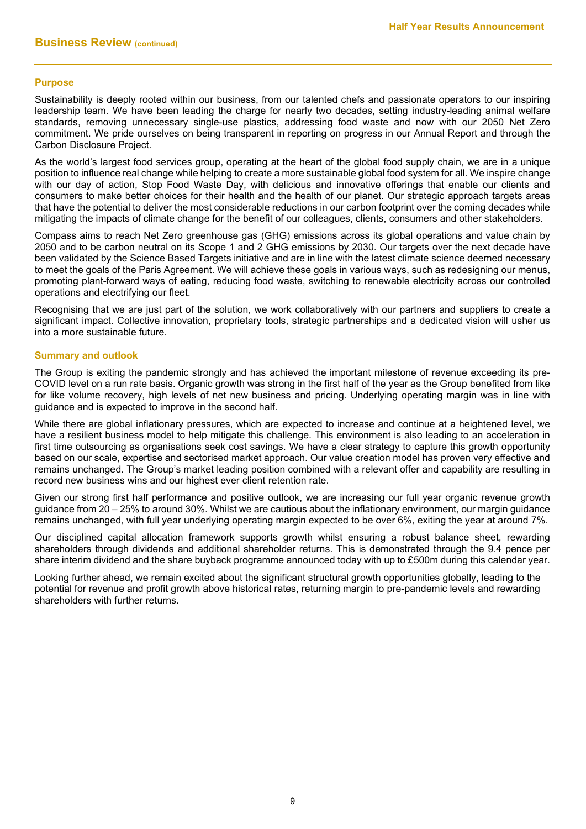## **Purpose**

Sustainability is deeply rooted within our business, from our talented chefs and passionate operators to our inspiring leadership team. We have been leading the charge for nearly two decades, setting industry-leading animal welfare standards, removing unnecessary single-use plastics, addressing food waste and now with our 2050 Net Zero commitment. We pride ourselves on being transparent in reporting on progress in our Annual Report and through the Carbon Disclosure Project.

As the world's largest food services group, operating at the heart of the global food supply chain, we are in a unique position to influence real change while helping to create a more sustainable global food system for all. We inspire change with our day of action, Stop Food Waste Day, with delicious and innovative offerings that enable our clients and consumers to make better choices for their health and the health of our planet. Our strategic approach targets areas that have the potential to deliver the most considerable reductions in our carbon footprint over the coming decades while mitigating the impacts of climate change for the benefit of our colleagues, clients, consumers and other stakeholders.

Compass aims to reach Net Zero greenhouse gas (GHG) emissions across its global operations and value chain by 2050 and to be carbon neutral on its Scope 1 and 2 GHG emissions by 2030. Our targets over the next decade have been validated by the Science Based Targets initiative and are in line with the latest climate science deemed necessary to meet the goals of the Paris Agreement. We will achieve these goals in various ways, such as redesigning our menus, promoting plant-forward ways of eating, reducing food waste, switching to renewable electricity across our controlled operations and electrifying our fleet.

Recognising that we are just part of the solution, we work collaboratively with our partners and suppliers to create a significant impact. Collective innovation, proprietary tools, strategic partnerships and a dedicated vision will usher us into a more sustainable future.

### **Summary and outlook**

The Group is exiting the pandemic strongly and has achieved the important milestone of revenue exceeding its pre-COVID level on a run rate basis. Organic growth was strong in the first half of the year as the Group benefited from like for like volume recovery, high levels of net new business and pricing. Underlying operating margin was in line with guidance and is expected to improve in the second half.

While there are global inflationary pressures, which are expected to increase and continue at a heightened level, we have a resilient business model to help mitigate this challenge. This environment is also leading to an acceleration in first time outsourcing as organisations seek cost savings. We have a clear strategy to capture this growth opportunity based on our scale, expertise and sectorised market approach. Our value creation model has proven very effective and remains unchanged. The Group's market leading position combined with a relevant offer and capability are resulting in record new business wins and our highest ever client retention rate.

Given our strong first half performance and positive outlook, we are increasing our full year organic revenue growth guidance from 20 – 25% to around 30%. Whilst we are cautious about the inflationary environment, our margin guidance remains unchanged, with full year underlying operating margin expected to be over 6%, exiting the year at around 7%.

Our disciplined capital allocation framework supports growth whilst ensuring a robust balance sheet, rewarding shareholders through dividends and additional shareholder returns. This is demonstrated through the 9.4 pence per share interim dividend and the share buyback programme announced today with up to £500m during this calendar year.

Looking further ahead, we remain excited about the significant structural growth opportunities globally, leading to the potential for revenue and profit growth above historical rates, returning margin to pre-pandemic levels and rewarding shareholders with further returns.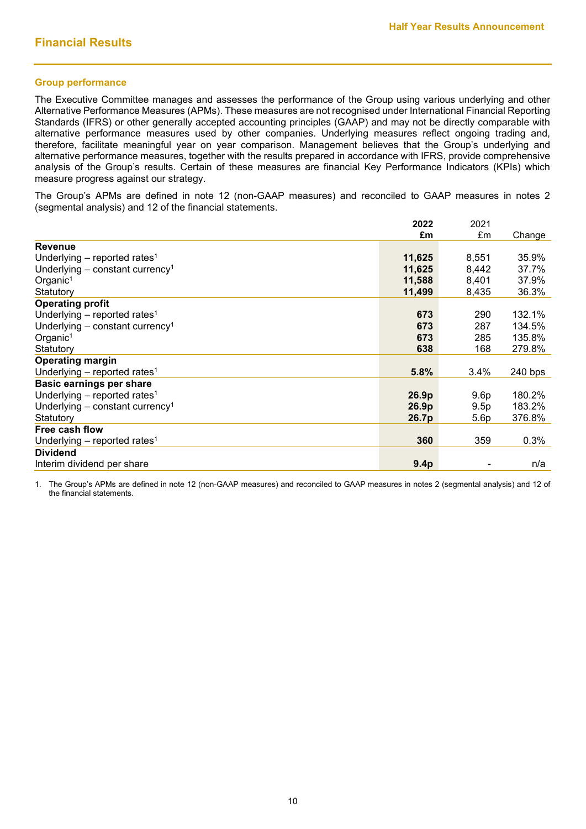### **Group performance**

The Executive Committee manages and assesses the performance of the Group using various underlying and other Alternative Performance Measures (APMs). These measures are not recognised under International Financial Reporting Standards (IFRS) or other generally accepted accounting principles (GAAP) and may not be directly comparable with alternative performance measures used by other companies. Underlying measures reflect ongoing trading and, therefore, facilitate meaningful year on year comparison. Management believes that the Group's underlying and alternative performance measures, together with the results prepared in accordance with IFRS, provide comprehensive analysis of the Group's results. Certain of these measures are financial Key Performance Indicators (KPIs) which measure progress against our strategy.

The Group's APMs are defined in note 12 (non-GAAP measures) and reconciled to GAAP measures in notes 2 (segmental analysis) and 12 of the financial statements.

|                                               | 2022             | 2021  |         |
|-----------------------------------------------|------------------|-------|---------|
|                                               | £m               | £m    | Change  |
| <b>Revenue</b>                                |                  |       |         |
| Underlying – reported rates <sup>1</sup>      | 11,625           | 8,551 | 35.9%   |
| Underlying $-$ constant currency <sup>1</sup> | 11,625           | 8,442 | 37.7%   |
| Organic <sup>1</sup>                          | 11,588           | 8,401 | 37.9%   |
| Statutory                                     | 11,499           | 8,435 | 36.3%   |
| <b>Operating profit</b>                       |                  |       |         |
| Underlying $-$ reported rates <sup>1</sup>    | 673              | 290   | 132.1%  |
| Underlying $-$ constant currency <sup>1</sup> | 673              | 287   | 134.5%  |
| Organic <sup>1</sup>                          | 673              | 285   | 135.8%  |
| Statutory                                     | 638              | 168   | 279.8%  |
| <b>Operating margin</b>                       |                  |       |         |
| Underlying – reported rates <sup>1</sup>      | 5.8%             | 3.4%  | 240 bps |
| <b>Basic earnings per share</b>               |                  |       |         |
| Underlying $-$ reported rates <sup>1</sup>    | 26.9p            | 9.6p  | 180.2%  |
| Underlying $-$ constant currency <sup>1</sup> | 26.9p            | 9.5p  | 183.2%  |
| Statutory                                     | 26.7p            | 5.6p  | 376.8%  |
| Free cash flow                                |                  |       |         |
| Underlying – reported rates <sup>1</sup>      | 360              | 359   | 0.3%    |
| <b>Dividend</b>                               |                  |       |         |
| Interim dividend per share                    | 9.4 <sub>p</sub> |       | n/a     |

1. The Group's APMs are defined in note 12 (non-GAAP measures) and reconciled to GAAP measures in notes 2 (segmental analysis) and 12 of the financial statements.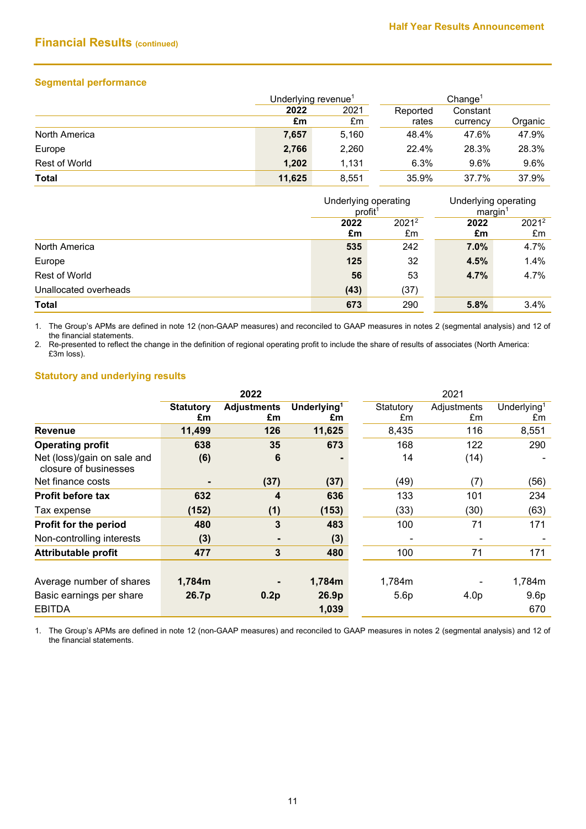# **Financial Results (continued)**

# **Segmental performance**

|               | Underlying revenue <sup>1</sup> |       |          | Change <sup>1</sup> |         |  |  |
|---------------|---------------------------------|-------|----------|---------------------|---------|--|--|
|               | 2022                            | 2021  | Reported | Constant            |         |  |  |
|               | £m                              | £m    | rates    | currency            | Organic |  |  |
| North America | 7,657                           | 5,160 | 48.4%    | 47.6%               | 47.9%   |  |  |
| Europe        | 2,766                           | 2,260 | 22.4%    | 28.3%               | 28.3%   |  |  |
| Rest of World | 1,202                           | 1.131 | 6.3%     | 9.6%                | 9.6%    |  |  |
| <b>Total</b>  | 11,625                          | 8,551 | 35.9%    | 37.7%               | 37.9%   |  |  |

|                       | profit <sup>1</sup> | Underlying operating | Underlying operating<br>margin |                |
|-----------------------|---------------------|----------------------|--------------------------------|----------------|
|                       | 2022<br>£m          | $2021^2$<br>£m       | 2022<br>£m                     | $2021^2$<br>£m |
| North America         | 535                 | 242                  | $7.0\%$                        | 4.7%           |
| Europe                | 125                 | 32                   | 4.5%                           | 1.4%           |
| <b>Rest of World</b>  | 56                  | 53                   | 4.7%                           | 4.7%           |
| Unallocated overheads | (43)                | (37)                 |                                |                |
| Total                 | 673                 | 290                  | 5.8%                           | 3.4%           |

1. The Group's APMs are defined in note 12 (non-GAAP measures) and reconciled to GAAP measures in notes 2 (segmental analysis) and 12 of the financial statements.

2. Re-presented to reflect the change in the definition of regional operating profit to include the share of results of associates (North America: £3m loss).

# **Statutory and underlying results**

|                                                      |                        | 2022                     |                               | 2021                     |                   |                               |
|------------------------------------------------------|------------------------|--------------------------|-------------------------------|--------------------------|-------------------|-------------------------------|
|                                                      | <b>Statutory</b><br>£m | <b>Adjustments</b><br>£m | Underlying <sup>1</sup><br>£m | Statutory<br>£m          | Adjustments<br>£m | Underlying <sup>1</sup><br>£m |
| <b>Revenue</b>                                       | 11,499                 | 126                      | 11,625                        | 8,435                    | 116               | 8,551                         |
| <b>Operating profit</b>                              | 638                    | 35                       | 673                           | 168                      | 122               | 290                           |
| Net (loss)/gain on sale and<br>closure of businesses | (6)                    | 6                        |                               | 14                       | (14)              |                               |
| Net finance costs                                    |                        | (37)                     | (37)                          | (49)                     | (7)               | (56)                          |
| <b>Profit before tax</b>                             | 632                    | 4                        | 636                           | 133                      | 101               | 234                           |
| Tax expense                                          | (152)                  | (1)                      | (153)                         | (33)                     | (30)              | (63)                          |
| Profit for the period                                | 480                    | 3                        | 483                           | 100                      | 71                | 171                           |
| Non-controlling interests                            | (3)                    |                          | (3)                           | $\overline{\phantom{a}}$ |                   |                               |
| <b>Attributable profit</b>                           | 477                    | 3                        | 480                           | 100                      | 71                | 171                           |
|                                                      |                        |                          |                               |                          |                   |                               |
| Average number of shares                             | 1,784m                 |                          | 1,784m                        | 1,784m                   |                   | 1,784m                        |
| Basic earnings per share                             | 26.7p                  | 0.2p                     | 26.9p                         | 5.6p                     | 4.0 <sub>p</sub>  | 9.6 <sub>p</sub>              |
| <b>EBITDA</b>                                        |                        |                          | 1,039                         |                          |                   | 670                           |

1. The Group's APMs are defined in note 12 (non-GAAP measures) and reconciled to GAAP measures in notes 2 (segmental analysis) and 12 of the financial statements.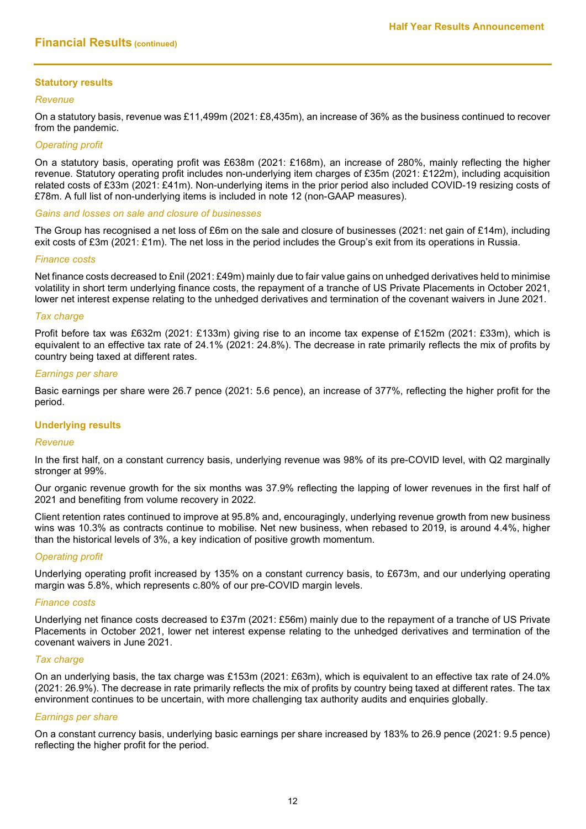### **Statutory results**

#### *Revenue*

On a statutory basis, revenue was £11,499m (2021: £8,435m), an increase of 36% as the business continued to recover from the pandemic.

### *Operating profit*

On a statutory basis, operating profit was £638m (2021: £168m), an increase of 280%, mainly reflecting the higher revenue. Statutory operating profit includes non-underlying item charges of £35m (2021: £122m), including acquisition related costs of £33m (2021: £41m). Non-underlying items in the prior period also included COVID-19 resizing costs of £78m. A full list of non-underlying items is included in note 12 (non-GAAP measures).

*Gains and losses on sale and closure of businesses*

The Group has recognised a net loss of £6m on the sale and closure of businesses (2021: net gain of £14m), including exit costs of £3m (2021: £1m). The net loss in the period includes the Group's exit from its operations in Russia.

#### *Finance costs*

Net finance costs decreased to £nil (2021: £49m) mainly due to fair value gains on unhedged derivatives held to minimise volatility in short term underlying finance costs, the repayment of a tranche of US Private Placements in October 2021, lower net interest expense relating to the unhedged derivatives and termination of the covenant waivers in June 2021.

#### *Tax charge*

Profit before tax was £632m (2021: £133m) giving rise to an income tax expense of £152m (2021: £33m), which is equivalent to an effective tax rate of 24.1% (2021: 24.8%). The decrease in rate primarily reflects the mix of profits by country being taxed at different rates.

#### *Earnings per share*

Basic earnings per share were 26.7 pence (2021: 5.6 pence), an increase of 377%, reflecting the higher profit for the period.

### **Underlying results**

#### *Revenue*

In the first half, on a constant currency basis, underlying revenue was 98% of its pre-COVID level, with Q2 marginally stronger at 99%.

Our organic revenue growth for the six months was 37.9% reflecting the lapping of lower revenues in the first half of 2021 and benefiting from volume recovery in 2022.

Client retention rates continued to improve at 95.8% and, encouragingly, underlying revenue growth from new business wins was 10.3% as contracts continue to mobilise. Net new business, when rebased to 2019, is around 4.4%, higher than the historical levels of 3%, a key indication of positive growth momentum.

#### *Operating profit*

Underlying operating profit increased by 135% on a constant currency basis, to £673m, and our underlying operating margin was 5.8%, which represents c.80% of our pre-COVID margin levels.

#### *Finance costs*

Underlying net finance costs decreased to £37m (2021: £56m) mainly due to the repayment of a tranche of US Private Placements in October 2021, lower net interest expense relating to the unhedged derivatives and termination of the covenant waivers in June 2021.

#### *Tax charge*

On an underlying basis, the tax charge was £153m (2021: £63m), which is equivalent to an effective tax rate of 24.0% (2021: 26.9%). The decrease in rate primarily reflects the mix of profits by country being taxed at different rates. The tax environment continues to be uncertain, with more challenging tax authority audits and enquiries globally.

### *Earnings per share*

On a constant currency basis, underlying basic earnings per share increased by 183% to 26.9 pence (2021: 9.5 pence) reflecting the higher profit for the period.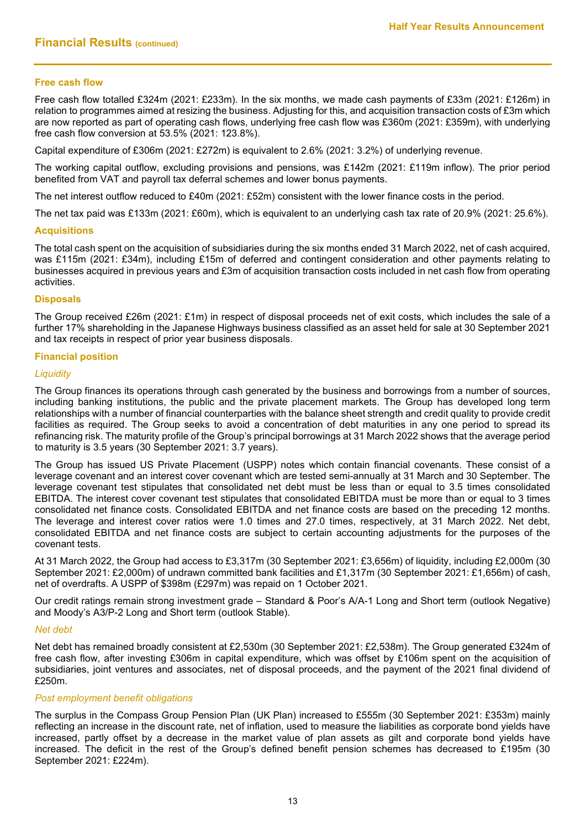## **Free cash flow**

Free cash flow totalled £324m (2021: £233m). In the six months, we made cash payments of £33m (2021: £126m) in relation to programmes aimed at resizing the business. Adjusting for this, and acquisition transaction costs of £3m which are now reported as part of operating cash flows, underlying free cash flow was £360m (2021: £359m), with underlying free cash flow conversion at 53.5% (2021: 123.8%).

Capital expenditure of £306m (2021: £272m) is equivalent to 2.6% (2021: 3.2%) of underlying revenue.

The working capital outflow, excluding provisions and pensions, was £142m (2021: £119m inflow). The prior period benefited from VAT and payroll tax deferral schemes and lower bonus payments.

The net interest outflow reduced to £40m (2021: £52m) consistent with the lower finance costs in the period.

The net tax paid was £133m (2021: £60m), which is equivalent to an underlying cash tax rate of 20.9% (2021: 25.6%).

#### **Acquisitions**

The total cash spent on the acquisition of subsidiaries during the six months ended 31 March 2022, net of cash acquired, was £115m (2021: £34m), including £15m of deferred and contingent consideration and other payments relating to businesses acquired in previous years and £3m of acquisition transaction costs included in net cash flow from operating activities.

### **Disposals**

The Group received £26m (2021: £1m) in respect of disposal proceeds net of exit costs, which includes the sale of a further 17% shareholding in the Japanese Highways business classified as an asset held for sale at 30 September 2021 and tax receipts in respect of prior year business disposals.

#### **Financial position**

#### *Liquidity*

The Group finances its operations through cash generated by the business and borrowings from a number of sources, including banking institutions, the public and the private placement markets. The Group has developed long term relationships with a number of financial counterparties with the balance sheet strength and credit quality to provide credit facilities as required. The Group seeks to avoid a concentration of debt maturities in any one period to spread its refinancing risk. The maturity profile of the Group's principal borrowings at 31 March 2022 shows that the average period to maturity is 3.5 years (30 September 2021: 3.7 years).

The Group has issued US Private Placement (USPP) notes which contain financial covenants. These consist of a leverage covenant and an interest cover covenant which are tested semi-annually at 31 March and 30 September. The leverage covenant test stipulates that consolidated net debt must be less than or equal to 3.5 times consolidated EBITDA. The interest cover covenant test stipulates that consolidated EBITDA must be more than or equal to 3 times consolidated net finance costs. Consolidated EBITDA and net finance costs are based on the preceding 12 months. The leverage and interest cover ratios were 1.0 times and 27.0 times, respectively, at 31 March 2022. Net debt, consolidated EBITDA and net finance costs are subject to certain accounting adjustments for the purposes of the covenant tests.

At 31 March 2022, the Group had access to £3,317m (30 September 2021: £3,656m) of liquidity, including £2,000m (30 September 2021: £2,000m) of undrawn committed bank facilities and £1,317m (30 September 2021: £1,656m) of cash, net of overdrafts. A USPP of \$398m (£297m) was repaid on 1 October 2021.

Our credit ratings remain strong investment grade – Standard & Poor's A/A-1 Long and Short term (outlook Negative) and Moody's A3/P-2 Long and Short term (outlook Stable).

#### *Net debt*

Net debt has remained broadly consistent at £2,530m (30 September 2021: £2,538m). The Group generated £324m of free cash flow, after investing £306m in capital expenditure, which was offset by £106m spent on the acquisition of subsidiaries, joint ventures and associates, net of disposal proceeds, and the payment of the 2021 final dividend of £250m.

### *Post employment benefit obligations*

The surplus in the Compass Group Pension Plan (UK Plan) increased to £555m (30 September 2021: £353m) mainly reflecting an increase in the discount rate, net of inflation, used to measure the liabilities as corporate bond yields have increased, partly offset by a decrease in the market value of plan assets as gilt and corporate bond yields have increased. The deficit in the rest of the Group's defined benefit pension schemes has decreased to £195m (30 September 2021: £224m).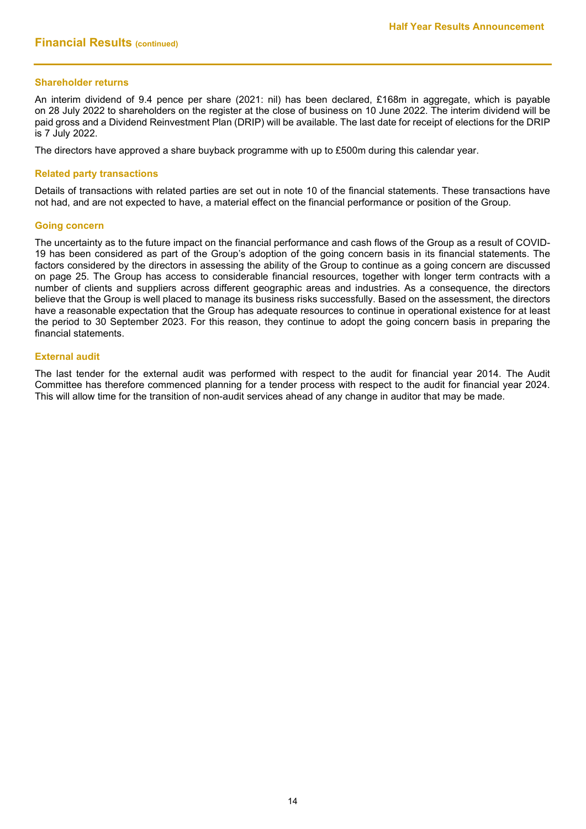### **Shareholder returns**

An interim dividend of 9.4 pence per share (2021: nil) has been declared, £168m in aggregate, which is payable on 28 July 2022 to shareholders on the register at the close of business on 10 June 2022. The interim dividend will be paid gross and a Dividend Reinvestment Plan (DRIP) will be available. The last date for receipt of elections for the DRIP is 7 July 2022.

The directors have approved a share buyback programme with up to £500m during this calendar year.

#### **Related party transactions**

Details of transactions with related parties are set out in note 10 of the financial statements. These transactions have not had, and are not expected to have, a material effect on the financial performance or position of the Group.

#### **Going concern**

The uncertainty as to the future impact on the financial performance and cash flows of the Group as a result of COVID-19 has been considered as part of the Group's adoption of the going concern basis in its financial statements. The factors considered by the directors in assessing the ability of the Group to continue as a going concern are discussed on page 25. The Group has access to considerable financial resources, together with longer term contracts with a number of clients and suppliers across different geographic areas and industries. As a consequence, the directors believe that the Group is well placed to manage its business risks successfully. Based on the assessment, the directors have a reasonable expectation that the Group has adequate resources to continue in operational existence for at least the period to 30 September 2023. For this reason, they continue to adopt the going concern basis in preparing the financial statements.

#### **External audit**

The last tender for the external audit was performed with respect to the audit for financial year 2014. The Audit Committee has therefore commenced planning for a tender process with respect to the audit for financial year 2024. This will allow time for the transition of non-audit services ahead of any change in auditor that may be made.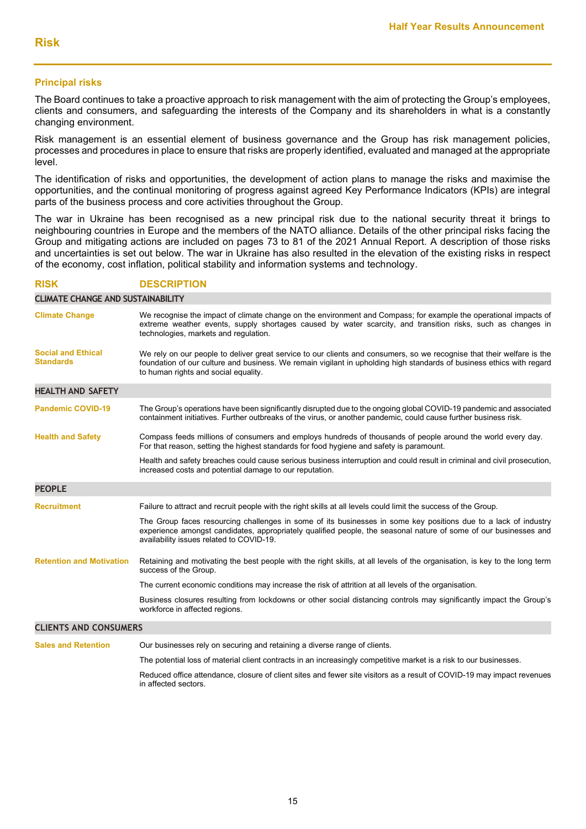### **Principal risks**

The Board continues to take a proactive approach to risk management with the aim of protecting the Group's employees, clients and consumers, and safeguarding the interests of the Company and its shareholders in what is a constantly changing environment.

Risk management is an essential element of business governance and the Group has risk management policies, processes and procedures in place to ensure that risks are properly identified, evaluated and managed at the appropriate level.

The identification of risks and opportunities, the development of action plans to manage the risks and maximise the opportunities, and the continual monitoring of progress against agreed Key Performance Indicators (KPIs) are integral parts of the business process and core activities throughout the Group.

The war in Ukraine has been recognised as a new principal risk due to the national security threat it brings to neighbouring countries in Europe and the members of the NATO alliance. Details of the other principal risks facing the Group and mitigating actions are included on pages 73 to 81 of the 2021 Annual Report. A description of those risks and uncertainties is set out below. The war in Ukraine has also resulted in the elevation of the existing risks in respect of the economy, cost inflation, political stability and information systems and technology.

### **RISK DESCRIPTION**

**CLIMATE CHANGE AND SUSTAINABILITY Climate Change** We recognise the impact of climate change on the environment and Compass; for example the operational impacts of extreme weather events, supply shortages caused by water scarcity, and transition risks, such as changes in technologies, markets and regulation. **Social and Ethical Standards** We rely on our people to deliver great service to our clients and consumers, so we recognise that their welfare is the foundation of our culture and business. We remain vigilant in upholding high standards of business ethics with regard to human rights and social equality. **HEALTH AND SAFETY Pandemic COVID-19** The Group's operations have been significantly disrupted due to the ongoing global COVID-19 pandemic and associated containment initiatives. Further outbreaks of the virus, or another pandemic, could cause further business risk. **Health and Safety** Compass feeds millions of consumers and employs hundreds of thousands of people around the world every day. For that reason, setting the highest standards for food hygiene and safety is paramount. Health and safety breaches could cause serious business interruption and could result in criminal and civil prosecution, increased costs and potential damage to our reputation. **PEOPLE Recruitment** Failure to attract and recruit people with the right skills at all levels could limit the success of the Group. The Group faces resourcing challenges in some of its businesses in some key positions due to a lack of industry experience amongst candidates, appropriately qualified people, the seasonal nature of some of our businesses and availability issues related to COVID-19. **Retention and Motivation** Retaining and motivating the best people with the right skills, at all levels of the organisation, is key to the long term success of the Group. The current economic conditions may increase the risk of attrition at all levels of the organisation. Business closures resulting from lockdowns or other social distancing controls may significantly impact the Group's workforce in affected regions. **CLIENTS AND CONSUMERS Sales and Retention** Our businesses rely on securing and retaining a diverse range of clients.

The potential loss of material client contracts in an increasingly competitive market is a risk to our businesses.

Reduced office attendance, closure of client sites and fewer site visitors as a result of COVID-19 may impact revenues in affected sectors.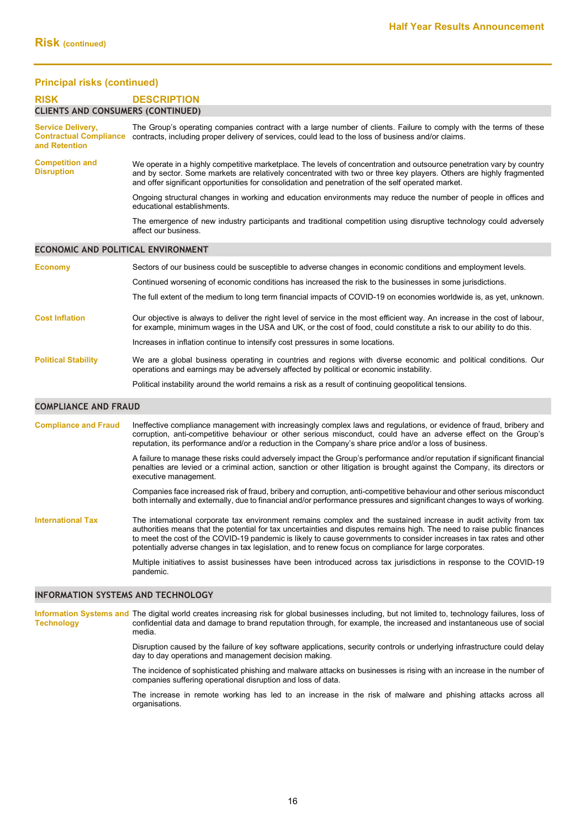# **Principal risks (continued)**

| <b>Principal risks (continued)</b>          |                                                                                                                                                                                                                                                                                                                                                                                                                                                                                 |
|---------------------------------------------|---------------------------------------------------------------------------------------------------------------------------------------------------------------------------------------------------------------------------------------------------------------------------------------------------------------------------------------------------------------------------------------------------------------------------------------------------------------------------------|
| <b>RISK</b>                                 | <b>DESCRIPTION</b>                                                                                                                                                                                                                                                                                                                                                                                                                                                              |
| <b>CLIENTS AND CONSUMERS (CONTINUED)</b>    |                                                                                                                                                                                                                                                                                                                                                                                                                                                                                 |
| <b>Service Delivery,</b><br>and Retention   | The Group's operating companies contract with a large number of clients. Failure to comply with the terms of these<br>Contractual Compliance contracts, including proper delivery of services, could lead to the loss of business and/or claims.                                                                                                                                                                                                                                |
| <b>Competition and</b><br><b>Disruption</b> | We operate in a highly competitive marketplace. The levels of concentration and outsource penetration vary by country<br>and by sector. Some markets are relatively concentrated with two or three key players. Others are highly fragmented<br>and offer significant opportunities for consolidation and penetration of the self operated market.                                                                                                                              |
|                                             | Ongoing structural changes in working and education environments may reduce the number of people in offices and<br>educational establishments.                                                                                                                                                                                                                                                                                                                                  |
|                                             | The emergence of new industry participants and traditional competition using disruptive technology could adversely<br>affect our business.                                                                                                                                                                                                                                                                                                                                      |
| ECONOMIC AND POLITICAL ENVIRONMENT          |                                                                                                                                                                                                                                                                                                                                                                                                                                                                                 |
| <b>Economy</b>                              | Sectors of our business could be susceptible to adverse changes in economic conditions and employment levels.                                                                                                                                                                                                                                                                                                                                                                   |
|                                             | Continued worsening of economic conditions has increased the risk to the businesses in some jurisdictions.                                                                                                                                                                                                                                                                                                                                                                      |
|                                             | The full extent of the medium to long term financial impacts of COVID-19 on economies worldwide is, as yet, unknown.                                                                                                                                                                                                                                                                                                                                                            |
| <b>Cost Inflation</b>                       | Our objective is always to deliver the right level of service in the most efficient way. An increase in the cost of labour,<br>for example, minimum wages in the USA and UK, or the cost of food, could constitute a risk to our ability to do this.                                                                                                                                                                                                                            |
|                                             | Increases in inflation continue to intensify cost pressures in some locations.                                                                                                                                                                                                                                                                                                                                                                                                  |
| <b>Political Stability</b>                  | We are a global business operating in countries and regions with diverse economic and political conditions. Our<br>operations and earnings may be adversely affected by political or economic instability.                                                                                                                                                                                                                                                                      |
|                                             | Political instability around the world remains a risk as a result of continuing geopolitical tensions.                                                                                                                                                                                                                                                                                                                                                                          |
| <b>COMPLIANCE AND FRAUD</b>                 |                                                                                                                                                                                                                                                                                                                                                                                                                                                                                 |
| <b>Compliance and Fraud</b>                 | Ineffective compliance management with increasingly complex laws and regulations, or evidence of fraud, bribery and<br>corruption, anti-competitive behaviour or other serious misconduct, could have an adverse effect on the Group's<br>reputation, its performance and/or a reduction in the Company's share price and/or a loss of business.                                                                                                                                |
|                                             | A failure to manage these risks could adversely impact the Group's performance and/or reputation if significant financial<br>penalties are levied or a criminal action, sanction or other litigation is brought against the Company, its directors or<br>executive management.                                                                                                                                                                                                  |
|                                             | Companies face increased risk of fraud, bribery and corruption, anti-competitive behaviour and other serious misconduct<br>both internally and externally, due to financial and/or performance pressures and significant changes to ways of working.                                                                                                                                                                                                                            |
| <b>International Tax</b>                    | The international corporate tax environment remains complex and the sustained increase in audit activity from tax<br>authorities means that the potential for tax uncertainties and disputes remains high. The need to raise public finances<br>to meet the cost of the COVID-19 pandemic is likely to cause governments to consider increases in tax rates and other<br>potentially adverse changes in tax legislation, and to renew focus on compliance for large corporates. |
|                                             | Multiple initiatives to assist businesses have been introduced across tax jurisdictions in response to the COVID-19<br>pandemic.                                                                                                                                                                                                                                                                                                                                                |

#### **INFORMATION SYSTEMS AND TECHNOLOGY**

**Information Systems and** The digital world creates increasing risk for global businesses including, but not limited to, technology failures, loss of **Technology** confidential data and damage to brand reputation through, for example, the increased and instantaneous use of social media.

> Disruption caused by the failure of key software applications, security controls or underlying infrastructure could delay day to day operations and management decision making.

> The incidence of sophisticated phishing and malware attacks on businesses is rising with an increase in the number of companies suffering operational disruption and loss of data.

> The increase in remote working has led to an increase in the risk of malware and phishing attacks across all organisations.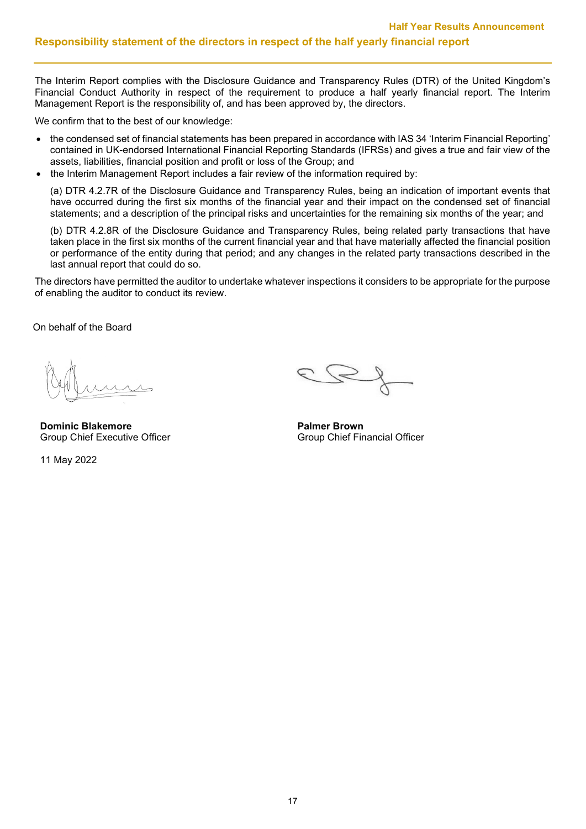The Interim Report complies with the Disclosure Guidance and Transparency Rules (DTR) of the United Kingdom's Financial Conduct Authority in respect of the requirement to produce a half yearly financial report. The Interim Management Report is the responsibility of, and has been approved by, the directors.

We confirm that to the best of our knowledge:

- the condensed set of financial statements has been prepared in accordance with IAS 34 'Interim Financial Reporting' contained in UK-endorsed International Financial Reporting Standards (IFRSs) and gives a true and fair view of the assets, liabilities, financial position and profit or loss of the Group; and
- the Interim Management Report includes a fair review of the information required by:

(a) DTR 4.2.7R of the Disclosure Guidance and Transparency Rules, being an indication of important events that have occurred during the first six months of the financial year and their impact on the condensed set of financial statements; and a description of the principal risks and uncertainties for the remaining six months of the year; and

(b) DTR 4.2.8R of the Disclosure Guidance and Transparency Rules, being related party transactions that have taken place in the first six months of the current financial year and that have materially affected the financial position or performance of the entity during that period; and any changes in the related party transactions described in the last annual report that could do so.

The directors have permitted the auditor to undertake whatever inspections it considers to be appropriate for the purpose of enabling the auditor to conduct its review.

On behalf of the Board

**Dominic Blakemore**<br> **Palmer Brown**<br> **Group Chief Executive Officer**<br> **Palmer Brown**<br> **Palmer Brown** 

11 May 2022

Group Chief Financial Officer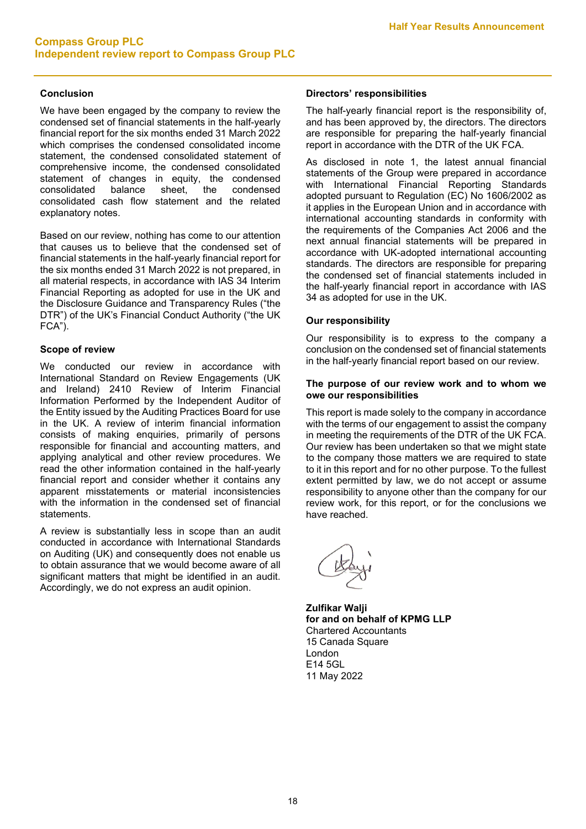## **Conclusion**

We have been engaged by the company to review the condensed set of financial statements in the half-yearly financial report for the six months ended 31 March 2022 which comprises the condensed consolidated income statement, the condensed consolidated statement of comprehensive income, the condensed consolidated statement of changes in equity, the condensed consolidated balance sheet, the condensed consolidated cash flow statement and the related explanatory notes.

Based on our review, nothing has come to our attention that causes us to believe that the condensed set of financial statements in the half-yearly financial report for the six months ended 31 March 2022 is not prepared, in all material respects, in accordance with IAS 34 Interim Financial Reporting as adopted for use in the UK and the Disclosure Guidance and Transparency Rules ("the DTR") of the UK's Financial Conduct Authority ("the UK FCA").

## **Scope of review**

We conducted our review in accordance with International Standard on Review Engagements (UK and Ireland) 2410 Review of Interim Financial Information Performed by the Independent Auditor of the Entity issued by the Auditing Practices Board for use in the UK. A review of interim financial information consists of making enquiries, primarily of persons responsible for financial and accounting matters, and applying analytical and other review procedures. We read the other information contained in the half-yearly financial report and consider whether it contains any apparent misstatements or material inconsistencies with the information in the condensed set of financial statements.

A review is substantially less in scope than an audit conducted in accordance with International Standards on Auditing (UK) and consequently does not enable us to obtain assurance that we would become aware of all significant matters that might be identified in an audit. Accordingly, we do not express an audit opinion.

### **Directors' responsibilities**

The half-yearly financial report is the responsibility of, and has been approved by, the directors. The directors are responsible for preparing the half-yearly financial report in accordance with the DTR of the UK FCA.

As disclosed in note 1, the latest annual financial statements of the Group were prepared in accordance with International Financial Reporting Standards adopted pursuant to Regulation (EC) No 1606/2002 as it applies in the European Union and in accordance with international accounting standards in conformity with the requirements of the Companies Act 2006 and the next annual financial statements will be prepared in accordance with UK-adopted international accounting standards. The directors are responsible for preparing the condensed set of financial statements included in the half-yearly financial report in accordance with IAS 34 as adopted for use in the UK.

### **Our responsibility**

Our responsibility is to express to the company a conclusion on the condensed set of financial statements in the half-yearly financial report based on our review.

#### **The purpose of our review work and to whom we owe our responsibilities**

This report is made solely to the company in accordance with the terms of our engagement to assist the company in meeting the requirements of the DTR of the UK FCA. Our review has been undertaken so that we might state to the company those matters we are required to state to it in this report and for no other purpose. To the fullest extent permitted by law, we do not accept or assume responsibility to anyone other than the company for our review work, for this report, or for the conclusions we have reached.

**Zulfikar Walji for and on behalf of KPMG LLP** Chartered Accountants 15 Canada Square London E14 5GL 11 May 2022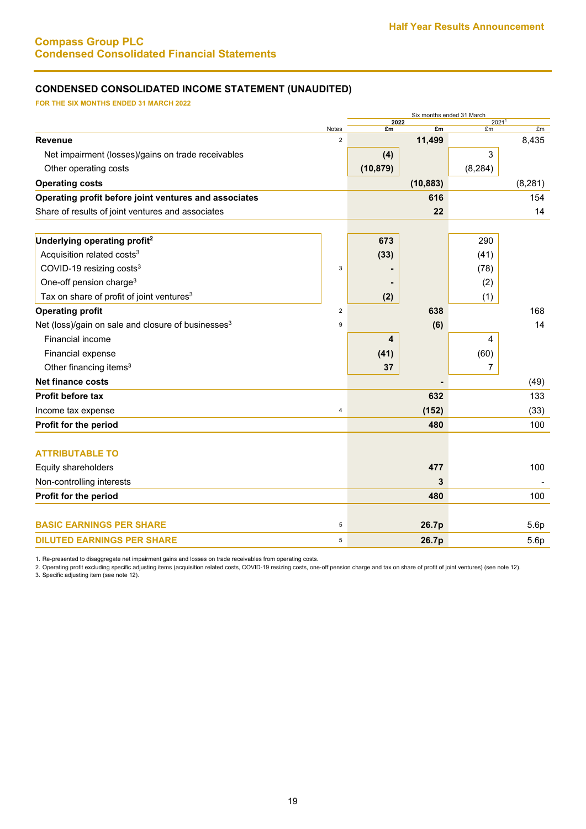# **Compass Group PLC Condensed Consolidated Financial Statements**

# **CONDENSED CONSOLIDATED INCOME STATEMENT (UNAUDITED)**

**FOR THE SIX MONTHS ENDED 31 MARCH 2022**

|                                                                |                  |            | Six months ended 31 March |                         |          |  |
|----------------------------------------------------------------|------------------|------------|---------------------------|-------------------------|----------|--|
|                                                                | <b>Notes</b>     | 2022<br>£m | £m                        | 2021 <sup>1</sup><br>£m | £m       |  |
| Revenue                                                        | $\overline{2}$   |            | 11,499                    |                         | 8,435    |  |
| Net impairment (losses)/gains on trade receivables             |                  | (4)        |                           | 3                       |          |  |
| Other operating costs                                          |                  | (10, 879)  |                           | (8, 284)                |          |  |
| <b>Operating costs</b>                                         |                  |            | (10, 883)                 |                         | (8, 281) |  |
| Operating profit before joint ventures and associates          |                  |            | 616                       |                         | 154      |  |
| Share of results of joint ventures and associates              |                  |            | 22                        |                         | 14       |  |
| Underlying operating profit <sup>2</sup>                       |                  | 673        |                           | 290                     |          |  |
| Acquisition related costs <sup>3</sup>                         |                  | (33)       |                           | (41)                    |          |  |
| COVID-19 resizing costs <sup>3</sup>                           | $\mathsf 3$      |            |                           | (78)                    |          |  |
| One-off pension charge <sup>3</sup>                            |                  |            |                           | (2)                     |          |  |
| Tax on share of profit of joint ventures <sup>3</sup>          |                  | (2)        |                           | (1)                     |          |  |
| <b>Operating profit</b>                                        | $\overline{2}$   |            | 638                       |                         | 168      |  |
| Net (loss)/gain on sale and closure of businesses <sup>3</sup> | $\boldsymbol{9}$ |            | (6)                       |                         | 14       |  |
| Financial income                                               |                  | 4          |                           | 4                       |          |  |
| Financial expense                                              |                  | (41)       |                           | (60)                    |          |  |
| Other financing items <sup>3</sup>                             |                  | 37         |                           | 7                       |          |  |
| <b>Net finance costs</b>                                       |                  |            |                           |                         | (49)     |  |
| <b>Profit before tax</b>                                       |                  |            | 632                       |                         | 133      |  |
| Income tax expense                                             | 4                |            | (152)                     |                         | (33)     |  |
| Profit for the period                                          |                  |            | 480                       |                         | 100      |  |
| <b>ATTRIBUTABLE TO</b>                                         |                  |            |                           |                         |          |  |
| Equity shareholders                                            |                  |            | 477                       |                         | 100      |  |
| Non-controlling interests                                      |                  |            | 3                         |                         |          |  |
| Profit for the period                                          |                  |            | 480                       |                         | 100      |  |
| <b>BASIC EARNINGS PER SHARE</b>                                | 5                |            | 26.7p                     |                         | 5.6p     |  |
| <b>DILUTED EARNINGS PER SHARE</b>                              | $\,$ 5 $\,$      |            | 26.7p                     |                         | 5.6p     |  |

1. Re-presented to disaggregate net impairment gains and losses on trade receivables from operating costs.

2. Operating profit excluding specific adjusting items (acquisition related costs, COVID-19 resizing costs, one-off pension charge and tax on share of profit of joint ventures) (see note 12). 3. Specific adjusting item (see note 12).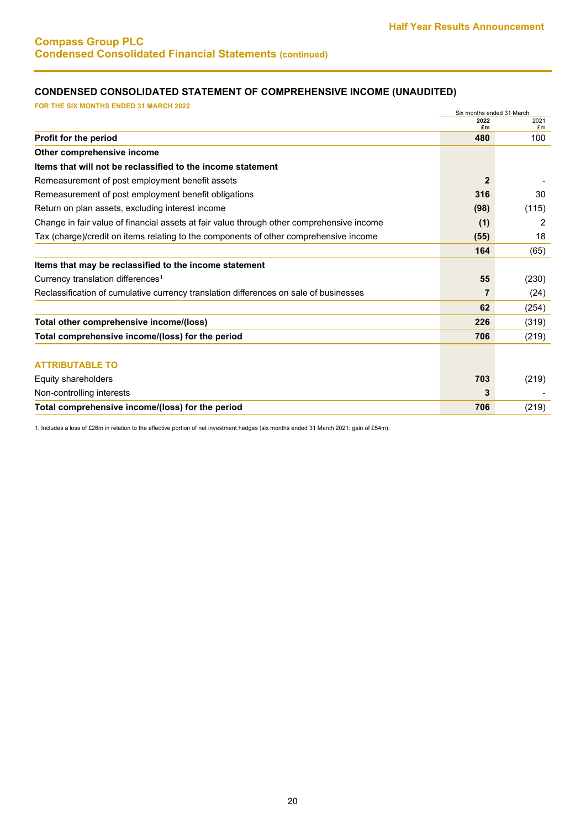# **CONDENSED CONSOLIDATED STATEMENT OF COMPREHENSIVE INCOME (UNAUDITED)**

| <b>FOR THE SIX MONTHS ENDED 31 MARCH 2022</b>                                             |                                   |       |
|-------------------------------------------------------------------------------------------|-----------------------------------|-------|
|                                                                                           | Six months ended 31 March<br>2022 | 2021  |
|                                                                                           | £m                                | £m    |
| Profit for the period                                                                     | 480                               | 100   |
| Other comprehensive income                                                                |                                   |       |
| Items that will not be reclassified to the income statement                               |                                   |       |
| Remeasurement of post employment benefit assets                                           | $\overline{2}$                    |       |
| Remeasurement of post employment benefit obligations                                      | 316                               | 30    |
| Return on plan assets, excluding interest income                                          | (98)                              | (115) |
| Change in fair value of financial assets at fair value through other comprehensive income | (1)                               | 2     |
| Tax (charge)/credit on items relating to the components of other comprehensive income     | (55)                              | 18    |
|                                                                                           | 164                               | (65)  |
| Items that may be reclassified to the income statement                                    |                                   |       |
| Currency translation differences <sup>1</sup>                                             | 55                                | (230) |
| Reclassification of cumulative currency translation differences on sale of businesses     | 7                                 | (24)  |
|                                                                                           | 62                                | (254) |
| Total other comprehensive income/(loss)                                                   | 226                               | (319) |
| Total comprehensive income/(loss) for the period                                          | 706                               | (219) |
|                                                                                           |                                   |       |
| <b>ATTRIBUTABLE TO</b>                                                                    |                                   |       |
| Equity shareholders                                                                       | 703                               | (219) |
| Non-controlling interests                                                                 | 3                                 |       |
| Total comprehensive income/(loss) for the period                                          | 706                               | (219) |

1. Includes a loss of £26m in relation to the effective portion of net investment hedges (six months ended 31 March 2021: gain of £54m).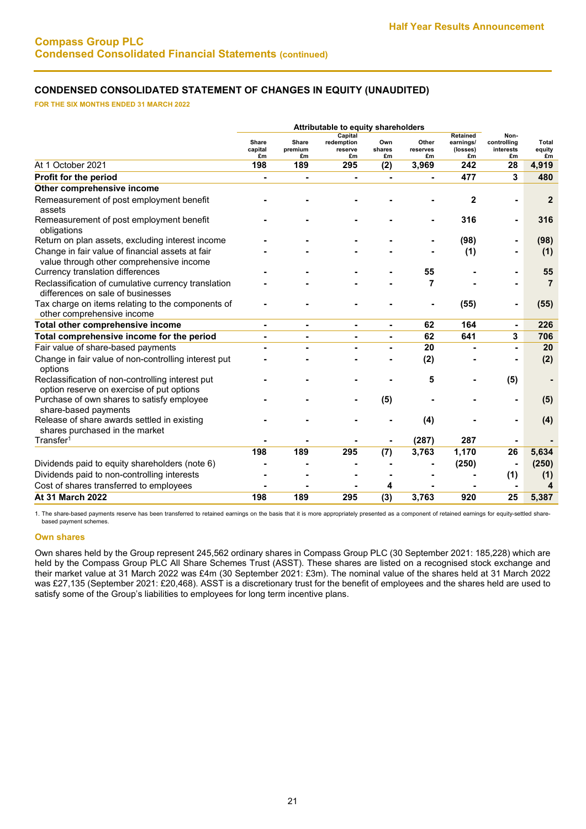# **CONDENSED CONSOLIDATED STATEMENT OF CHANGES IN EQUITY (UNAUDITED)**

**FOR THE SIX MONTHS ENDED 31 MARCH 2022**

|                                                                                               | Attributable to equity shareholders |                        |                                        |                     |                         |                                         |                                        |                       |
|-----------------------------------------------------------------------------------------------|-------------------------------------|------------------------|----------------------------------------|---------------------|-------------------------|-----------------------------------------|----------------------------------------|-----------------------|
|                                                                                               | <b>Share</b><br>capital<br>£m       | Share<br>premium<br>£m | Capital<br>redemption<br>reserve<br>£m | Own<br>shares<br>£m | Other<br>reserves<br>£m | Retained<br>earnings/<br>(losses)<br>£m | Non-<br>controlling<br>interests<br>£m | Total<br>equity<br>£m |
| At 1 October 2021                                                                             | 198                                 | 189                    | 295                                    | (2)                 | 3,969                   | 242                                     | 28                                     | 4,919                 |
| Profit for the period                                                                         |                                     |                        |                                        |                     |                         | 477                                     | 3                                      | 480                   |
| Other comprehensive income                                                                    |                                     |                        |                                        |                     |                         |                                         |                                        |                       |
| Remeasurement of post employment benefit<br>assets                                            |                                     |                        |                                        |                     |                         | $\mathbf{2}$                            |                                        | $\overline{2}$        |
| Remeasurement of post employment benefit<br>obligations                                       |                                     |                        |                                        |                     |                         | 316                                     |                                        | 316                   |
| Return on plan assets, excluding interest income                                              |                                     |                        |                                        |                     |                         | (98)                                    |                                        | (98)                  |
| Change in fair value of financial assets at fair<br>value through other comprehensive income  |                                     |                        |                                        |                     |                         | (1)                                     |                                        | (1)                   |
| Currency translation differences                                                              |                                     |                        |                                        |                     | 55                      |                                         |                                        | 55                    |
| Reclassification of cumulative currency translation<br>differences on sale of businesses      |                                     |                        |                                        |                     | 7                       |                                         |                                        | $\overline{7}$        |
| Tax charge on items relating to the components of<br>other comprehensive income               |                                     |                        |                                        |                     |                         | (55)                                    |                                        | (55)                  |
| Total other comprehensive income                                                              | $\blacksquare$                      |                        | ٠                                      | $\blacksquare$      | 62                      | 164                                     |                                        | 226                   |
| Total comprehensive income for the period                                                     | $\blacksquare$                      | $\blacksquare$         | $\blacksquare$                         | $\blacksquare$      | 62                      | 641                                     | 3                                      | 706                   |
| Fair value of share-based payments                                                            |                                     |                        |                                        |                     | 20                      |                                         |                                        | 20                    |
| Change in fair value of non-controlling interest put<br>options                               |                                     |                        |                                        |                     | (2)                     |                                         |                                        | (2)                   |
| Reclassification of non-controlling interest put<br>option reserve on exercise of put options |                                     |                        |                                        |                     | 5                       |                                         | (5)                                    |                       |
| Purchase of own shares to satisfy employee<br>share-based payments                            |                                     |                        |                                        | (5)                 |                         |                                         |                                        | (5)                   |
| Release of share awards settled in existing<br>shares purchased in the market                 |                                     |                        |                                        |                     | (4)                     |                                         |                                        | (4)                   |
| Transfer <sup>1</sup>                                                                         |                                     |                        |                                        |                     | (287)                   | 287                                     |                                        |                       |
|                                                                                               | 198                                 | 189                    | 295                                    | (7)                 | 3,763                   | 1,170                                   | 26                                     | 5,634                 |
| Dividends paid to equity shareholders (note 6)                                                |                                     |                        |                                        |                     |                         | (250)                                   |                                        | (250)                 |
| Dividends paid to non-controlling interests                                                   |                                     |                        |                                        |                     |                         |                                         | (1)                                    | (1)                   |
| Cost of shares transferred to employees                                                       |                                     |                        |                                        | 4                   |                         |                                         |                                        | 4                     |
| At 31 March 2022                                                                              | 198                                 | 189                    | 295                                    | (3)                 | 3,763                   | 920                                     | 25                                     | 5,387                 |

1. The share-based payments reserve has been transferred to retained earnings on the basis that it is more appropriately presented as a component of retained earnings for equity-settled sharebased payment schemes.

#### **Own shares**

Own shares held by the Group represent 245,562 ordinary shares in Compass Group PLC (30 September 2021: 185,228) which are held by the Compass Group PLC All Share Schemes Trust (ASST). These shares are listed on a recognised stock exchange and their market value at 31 March 2022 was £4m (30 September 2021: £3m). The nominal value of the shares held at 31 March 2022 was £27,135 (September 2021: £20,468). ASST is a discretionary trust for the benefit of employees and the shares held are used to satisfy some of the Group's liabilities to employees for long term incentive plans.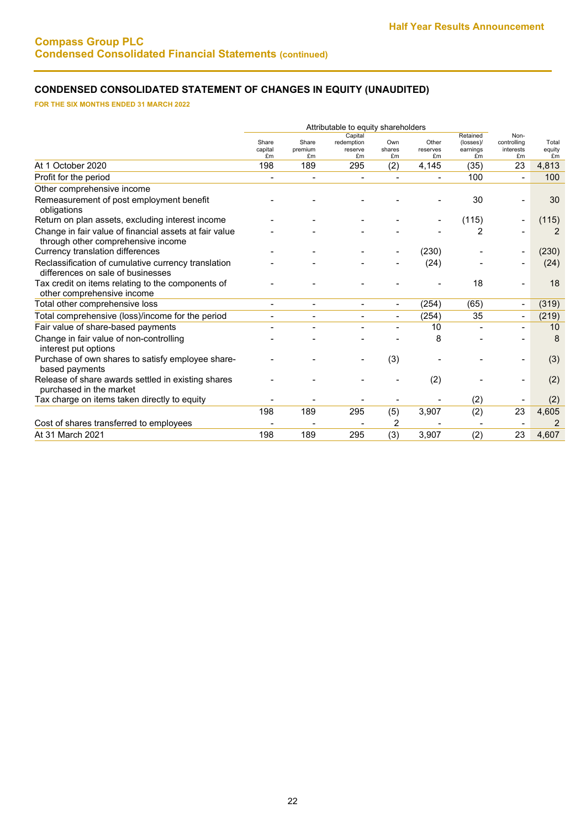# **CONDENSED CONSOLIDATED STATEMENT OF CHANGES IN EQUITY (UNAUDITED)**

**FOR THE SIX MONTHS ENDED 31 MARCH 2022** 

|                                                                                              | Attributable to equity shareholders |                              |                                        |                          |                         |                                         |                                        |                       |
|----------------------------------------------------------------------------------------------|-------------------------------------|------------------------------|----------------------------------------|--------------------------|-------------------------|-----------------------------------------|----------------------------------------|-----------------------|
|                                                                                              | Share<br>capital<br>£m              | Share<br>premium<br>£m       | Capital<br>redemption<br>reserve<br>£m | Own<br>shares<br>£m      | Other<br>reserves<br>£m | Retained<br>(losses)/<br>earnings<br>£m | Non-<br>controlling<br>interests<br>£m | Total<br>equity<br>£m |
| At 1 October 2020                                                                            | 198                                 | 189                          | 295                                    | (2)                      | 4,145                   | (35)                                    | 23                                     | 4,813                 |
| Profit for the period                                                                        | $\overline{\phantom{a}}$            | $\qquad \qquad \blacksquare$ | $\overline{\phantom{a}}$               |                          |                         | 100                                     | $\overline{a}$                         | 100                   |
| Other comprehensive income                                                                   |                                     |                              |                                        |                          |                         |                                         |                                        |                       |
| Remeasurement of post employment benefit<br>obligations                                      |                                     |                              |                                        |                          |                         | 30                                      |                                        | 30                    |
| Return on plan assets, excluding interest income                                             |                                     |                              |                                        |                          |                         | (115)                                   |                                        | (115)                 |
| Change in fair value of financial assets at fair value<br>through other comprehensive income |                                     |                              |                                        |                          |                         | 2                                       |                                        | 2                     |
| Currency translation differences                                                             |                                     |                              |                                        |                          | (230)                   |                                         |                                        | (230)                 |
| Reclassification of cumulative currency translation<br>differences on sale of businesses     |                                     |                              |                                        |                          | (24)                    |                                         |                                        | (24)                  |
| Tax credit on items relating to the components of<br>other comprehensive income              |                                     |                              |                                        |                          |                         | 18                                      |                                        | 18                    |
| Total other comprehensive loss                                                               | $\blacksquare$                      | $\blacksquare$               | $\overline{\phantom{a}}$               | $\overline{\phantom{a}}$ | (254)                   | (65)                                    | $\overline{\phantom{a}}$               | (319)                 |
| Total comprehensive (loss)/income for the period                                             | $\blacksquare$                      | $\blacksquare$               | $\blacksquare$                         |                          | (254)                   | 35                                      | Ξ.                                     | (219)                 |
| Fair value of share-based payments                                                           |                                     | $\overline{\phantom{0}}$     |                                        |                          | 10                      |                                         |                                        | 10                    |
| Change in fair value of non-controlling<br>interest put options                              |                                     |                              |                                        |                          | 8                       |                                         |                                        | 8                     |
| Purchase of own shares to satisfy employee share-<br>based payments                          |                                     |                              |                                        | (3)                      |                         |                                         |                                        | (3)                   |
| Release of share awards settled in existing shares<br>purchased in the market                |                                     |                              |                                        |                          | (2)                     |                                         |                                        | (2)                   |
| Tax charge on items taken directly to equity                                                 |                                     |                              |                                        |                          |                         | (2)                                     |                                        | (2)                   |
|                                                                                              | 198                                 | 189                          | 295                                    | (5)                      | 3,907                   | (2)                                     | 23                                     | 4,605                 |
| Cost of shares transferred to employees                                                      |                                     |                              |                                        | 2                        |                         |                                         |                                        | $\overline{2}$        |
| At 31 March 2021                                                                             | 198                                 | 189                          | 295                                    | (3)                      | 3,907                   | (2)                                     | 23                                     | 4,607                 |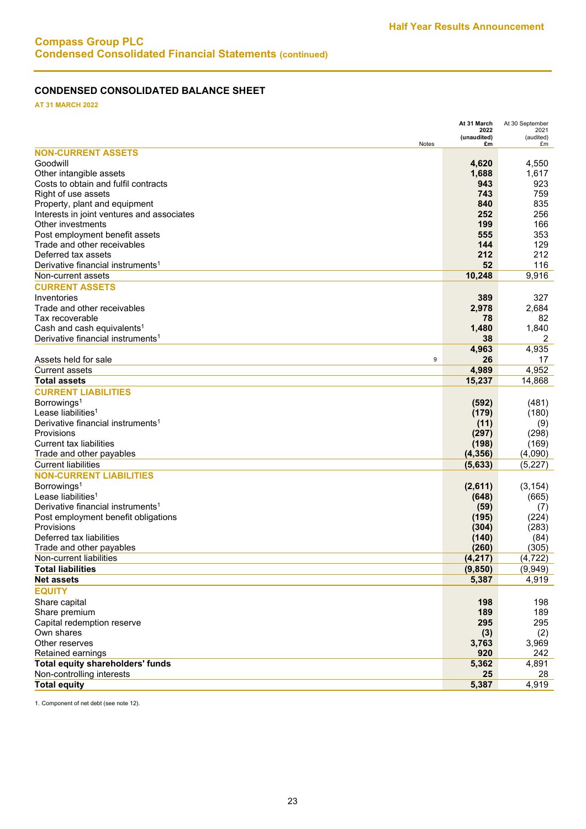# **CONDENSED CONSOLIDATED BALANCE SHEET**

**AT 31 MARCH 2022**

|                                               | At 31 March<br>2022 | At 30 September<br>2021 |
|-----------------------------------------------|---------------------|-------------------------|
|                                               | (unaudited)         | (audited)               |
| Notes<br><b>NON-CURRENT ASSETS</b>            | £m                  | £m                      |
| Goodwill                                      | 4,620               | 4,550                   |
| Other intangible assets                       | 1,688               | 1,617                   |
| Costs to obtain and fulfil contracts          | 943                 | 923                     |
| Right of use assets                           | 743                 | 759                     |
| Property, plant and equipment                 | 840                 | 835                     |
| Interests in joint ventures and associates    | 252                 | 256                     |
| Other investments                             | 199                 | 166                     |
| Post employment benefit assets                | 555                 | 353                     |
| Trade and other receivables                   | 144                 | 129                     |
| Deferred tax assets                           | 212                 | 212                     |
| Derivative financial instruments <sup>1</sup> | 52                  | 116                     |
| Non-current assets                            | 10,248              | 9,916                   |
| <b>CURRENT ASSETS</b>                         |                     |                         |
| Inventories                                   | 389                 | 327                     |
| Trade and other receivables                   | 2,978               | 2,684                   |
| Tax recoverable                               | 78                  | 82                      |
| Cash and cash equivalents <sup>1</sup>        | 1,480               | 1,840                   |
| Derivative financial instruments <sup>1</sup> | 38                  | 2                       |
|                                               | 4,963               | 4,935                   |
| Assets held for sale<br>9                     | 26                  | 17                      |
| <b>Current assets</b>                         | 4,989               | 4,952                   |
| <b>Total assets</b>                           | 15,237              | 14,868                  |
| <b>CURRENT LIABILITIES</b>                    |                     |                         |
| Borrowings <sup>1</sup>                       | (592)               | (481)                   |
| Lease liabilities <sup>1</sup>                | (179)               | (180)                   |
| Derivative financial instruments <sup>1</sup> | (11)                | (9)                     |
| Provisions                                    | (297)               | (298)                   |
| <b>Current tax liabilities</b>                | (198)               | (169)                   |
| Trade and other payables                      | (4, 356)            | (4,090)                 |
| <b>Current liabilities</b>                    | (5,633)             | (5, 227)                |
| <b>NON-CURRENT LIABILITIES</b>                |                     |                         |
| Borrowings <sup>1</sup>                       | (2,611)             | (3, 154)                |
| Lease liabilities <sup>1</sup>                | (648)               | (665)                   |
| Derivative financial instruments <sup>1</sup> |                     |                         |
| Post employment benefit obligations           | (59)<br>(195)       | (7)<br>(224)            |
| Provisions                                    | (304)               | (283)                   |
| Deferred tax liabilities                      | (140)               | (84)                    |
| Trade and other payables                      | (260)               | (305)                   |
| Non-current liabilities                       | (4, 217)            | (4, 722)                |
| <b>Total liabilities</b>                      | (9, 850)            | (9,949)                 |
| <b>Net assets</b>                             | 5,387               | 4,919                   |
| <b>EQUITY</b>                                 |                     |                         |
| Share capital                                 |                     |                         |
| Share premium                                 | 198<br>189          | 198<br>189              |
| Capital redemption reserve                    | 295                 | 295                     |
| Own shares                                    | (3)                 | (2)                     |
| Other reserves                                | 3,763               | 3,969                   |
| Retained earnings                             | 920                 | 242                     |
| <b>Total equity shareholders' funds</b>       | 5,362               | 4,891                   |
| Non-controlling interests                     | 25                  | 28                      |
| <b>Total equity</b>                           | 5,387               | 4,919                   |
|                                               |                     |                         |

1. Component of net debt (see note 12).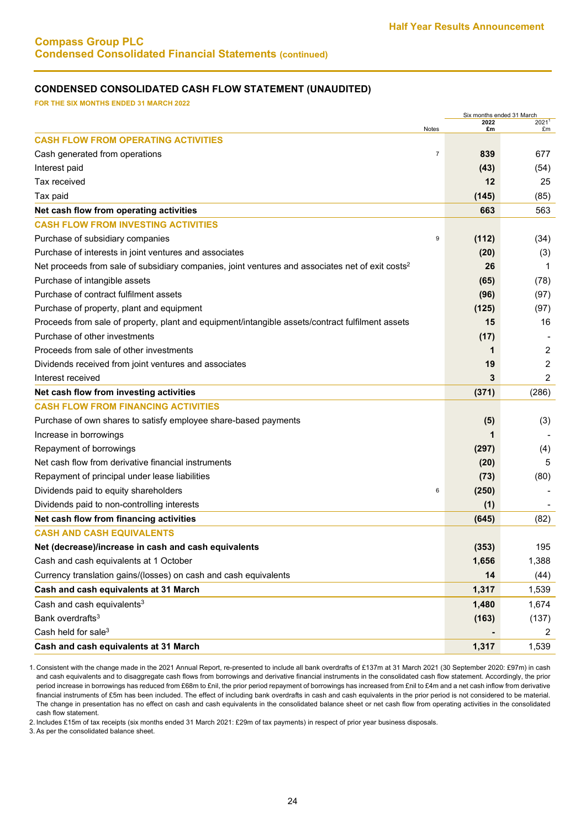# **Compass Group PLC Condensed Consolidated Financial Statements (continued)**

### **CONDENSED CONSOLIDATED CASH FLOW STATEMENT (UNAUDITED)**

**FOR THE SIX MONTHS ENDED 31 MARCH 2022**

| Six months ended 31 March                                                                                    |                       |                |  |
|--------------------------------------------------------------------------------------------------------------|-----------------------|----------------|--|
| Notes                                                                                                        | 2022<br>£m            | 20211<br>£m    |  |
| <b>CASH FLOW FROM OPERATING ACTIVITIES</b>                                                                   |                       |                |  |
| Cash generated from operations                                                                               | $\overline{7}$<br>839 | 677            |  |
| Interest paid                                                                                                | (43)                  | (54)           |  |
| Tax received                                                                                                 | 12                    | 25             |  |
| Tax paid                                                                                                     | (145)                 | (85)           |  |
| Net cash flow from operating activities                                                                      | 663                   | 563            |  |
| <b>CASH FLOW FROM INVESTING ACTIVITIES</b>                                                                   |                       |                |  |
| Purchase of subsidiary companies                                                                             | 9<br>(112)            | (34)           |  |
| Purchase of interests in joint ventures and associates                                                       | (20)                  | (3)            |  |
| Net proceeds from sale of subsidiary companies, joint ventures and associates net of exit costs <sup>2</sup> | 26                    | 1              |  |
| Purchase of intangible assets                                                                                | (65)                  | (78)           |  |
| Purchase of contract fulfilment assets                                                                       | (96)                  | (97)           |  |
| Purchase of property, plant and equipment                                                                    | (125)                 | (97)           |  |
| Proceeds from sale of property, plant and equipment/intangible assets/contract fulfilment assets             | 15                    | 16             |  |
| Purchase of other investments                                                                                | (17)                  |                |  |
| Proceeds from sale of other investments                                                                      | 1                     | $\overline{2}$ |  |
| Dividends received from joint ventures and associates                                                        | 19                    | 2              |  |
| Interest received                                                                                            | 3                     | 2              |  |
| Net cash flow from investing activities                                                                      | (371)                 | (286)          |  |
| <b>CASH FLOW FROM FINANCING ACTIVITIES</b>                                                                   |                       |                |  |
| Purchase of own shares to satisfy employee share-based payments                                              | (5)                   | (3)            |  |
| Increase in borrowings                                                                                       |                       |                |  |
| Repayment of borrowings                                                                                      | (297)                 | (4)            |  |
| Net cash flow from derivative financial instruments                                                          | (20)                  | 5              |  |
| Repayment of principal under lease liabilities                                                               | (73)                  | (80)           |  |
| Dividends paid to equity shareholders                                                                        | (250)<br>6            |                |  |
| Dividends paid to non-controlling interests                                                                  | (1)                   |                |  |
| Net cash flow from financing activities                                                                      | (645)                 | (82)           |  |
| <b>CASH AND CASH EQUIVALENTS</b>                                                                             |                       |                |  |
| Net (decrease)/increase in cash and cash equivalents                                                         | (353)                 | 195            |  |
| Cash and cash equivalents at 1 October                                                                       | 1,656                 | 1,388          |  |
| Currency translation gains/(losses) on cash and cash equivalents                                             | 14                    | (44)           |  |
| Cash and cash equivalents at 31 March                                                                        | 1,317                 | 1,539          |  |
| Cash and cash equivalents <sup>3</sup>                                                                       | 1,480                 | 1,674          |  |
| Bank overdrafts <sup>3</sup>                                                                                 | (163)                 | (137)          |  |
| Cash held for sale <sup>3</sup>                                                                              |                       | 2              |  |
| Cash and cash equivalents at 31 March                                                                        | 1,317                 | 1,539          |  |

1. Consistent with the change made in the 2021 Annual Report, re-presented to include all bank overdrafts of £137m at 31 March 2021 (30 September 2020: £97m) in cash and cash equivalents and to disaggregate cash flows from borrowings and derivative financial instruments in the consolidated cash flow statement. Accordingly, the prior period increase in borrowings has reduced from £68m to £nil, the prior period repayment of borrowings has increased from £nil to £4m and a net cash inflow from derivative financial instruments of £5m has been included. The effect of including bank overdrafts in cash and cash equivalents in the prior period is not considered to be material. The change in presentation has no effect on cash and cash equivalents in the consolidated balance sheet or net cash flow from operating activities in the consolidated cash flow statement.

2. Includes £15m of tax receipts (six months ended 31 March 2021: £29m of tax payments) in respect of prior year business disposals.

3. As per the consolidated balance sheet.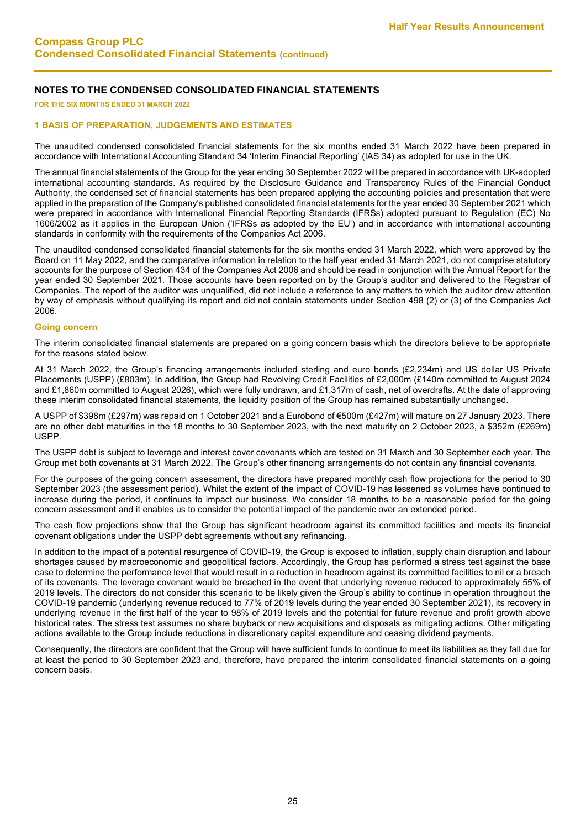**FOR THE SIX MONTHS ENDED 31 MARCH 2022**

#### **1 BASIS OF PREPARATION, JUDGEMENTS AND ESTIMATES**

The unaudited condensed consolidated financial statements for the six months ended 31 March 2022 have been prepared in accordance with International Accounting Standard 34 'Interim Financial Reporting' (IAS 34) as adopted for use in the UK.

The annual financial statements of the Group for the year ending 30 September 2022 will be prepared in accordance with UK-adopted international accounting standards. As required by the Disclosure Guidance and Transparency Rules of the Financial Conduct Authority, the condensed set of financial statements has been prepared applying the accounting policies and presentation that were applied in the preparation of the Company's published consolidated financial statements for the year ended 30 September 2021 which were prepared in accordance with International Financial Reporting Standards (IFRSs) adopted pursuant to Regulation (EC) No 1606/2002 as it applies in the European Union ('IFRSs as adopted by the EU') and in accordance with international accounting standards in conformity with the requirements of the Companies Act 2006.

The unaudited condensed consolidated financial statements for the six months ended 31 March 2022, which were approved by the Board on 11 May 2022, and the comparative information in relation to the half year ended 31 March 2021, do not comprise statutory accounts for the purpose of Section 434 of the Companies Act 2006 and should be read in conjunction with the Annual Report for the year ended 30 September 2021. Those accounts have been reported on by the Group's auditor and delivered to the Registrar of Companies. The report of the auditor was unqualified, did not include a reference to any matters to which the auditor drew attention by way of emphasis without qualifying its report and did not contain statements under Section 498 (2) or (3) of the Companies Act 2006.

#### **Going concern**

The interim consolidated financial statements are prepared on a going concern basis which the directors believe to be appropriate for the reasons stated below.

At 31 March 2022, the Group's financing arrangements included sterling and euro bonds (£2,234m) and US dollar US Private Placements (USPP) (£803m). In addition, the Group had Revolving Credit Facilities of £2,000m (£140m committed to August 2024 and £1,860m committed to August 2026), which were fully undrawn, and £1,317m of cash, net of overdrafts. At the date of approving these interim consolidated financial statements, the liquidity position of the Group has remained substantially unchanged.

A USPP of \$398m (£297m) was repaid on 1 October 2021 and a Eurobond of €500m (£427m) will mature on 27 January 2023. There are no other debt maturities in the 18 months to 30 September 2023, with the next maturity on 2 October 2023, a \$352m (£269m) USPP.

The USPP debt is subject to leverage and interest cover covenants which are tested on 31 March and 30 September each year. The Group met both covenants at 31 March 2022. The Group's other financing arrangements do not contain any financial covenants.

For the purposes of the going concern assessment, the directors have prepared monthly cash flow projections for the period to 30 September 2023 (the assessment period). Whilst the extent of the impact of COVID-19 has lessened as volumes have continued to increase during the period, it continues to impact our business. We consider 18 months to be a reasonable period for the going concern assessment and it enables us to consider the potential impact of the pandemic over an extended period.

The cash flow projections show that the Group has significant headroom against its committed facilities and meets its financial covenant obligations under the USPP debt agreements without any refinancing.

In addition to the impact of a potential resurgence of COVID-19, the Group is exposed to inflation, supply chain disruption and labour shortages caused by macroeconomic and geopolitical factors. Accordingly, the Group has performed a stress test against the base case to determine the performance level that would result in a reduction in headroom against its committed facilities to nil or a breach of its covenants. The leverage covenant would be breached in the event that underlying revenue reduced to approximately 55% of 2019 levels. The directors do not consider this scenario to be likely given the Group's ability to continue in operation throughout the COVID-19 pandemic (underlying revenue reduced to 77% of 2019 levels during the year ended 30 September 2021), its recovery in underlying revenue in the first half of the year to 98% of 2019 levels and the potential for future revenue and profit growth above historical rates. The stress test assumes no share buyback or new acquisitions and disposals as mitigating actions. Other mitigating actions available to the Group include reductions in discretionary capital expenditure and ceasing dividend payments.

Consequently, the directors are confident that the Group will have sufficient funds to continue to meet its liabilities as they fall due for at least the period to 30 September 2023 and, therefore, have prepared the interim consolidated financial statements on a going concern basis.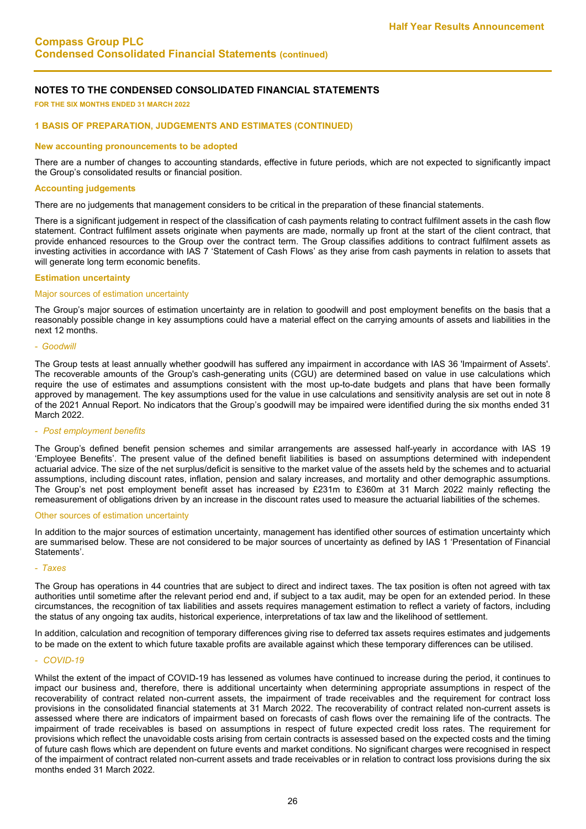**FOR THE SIX MONTHS ENDED 31 MARCH 2022**

#### **1 BASIS OF PREPARATION, JUDGEMENTS AND ESTIMATES (CONTINUED)**

#### **New accounting pronouncements to be adopted**

There are a number of changes to accounting standards, effective in future periods, which are not expected to significantly impact the Group's consolidated results or financial position.

#### **Accounting judgements**

There are no judgements that management considers to be critical in the preparation of these financial statements.

There is a significant judgement in respect of the classification of cash payments relating to contract fulfilment assets in the cash flow statement. Contract fulfilment assets originate when payments are made, normally up front at the start of the client contract, that provide enhanced resources to the Group over the contract term. The Group classifies additions to contract fulfilment assets as investing activities in accordance with IAS 7 'Statement of Cash Flows' as they arise from cash payments in relation to assets that will generate long term economic benefits.

#### **Estimation uncertainty**

#### Major sources of estimation uncertainty

The Group's major sources of estimation uncertainty are in relation to goodwill and post employment benefits on the basis that a reasonably possible change in key assumptions could have a material effect on the carrying amounts of assets and liabilities in the next 12 months.

#### - *Goodwill*

The Group tests at least annually whether goodwill has suffered any impairment in accordance with IAS 36 'Impairment of Assets'. The recoverable amounts of the Group's cash-generating units (CGU) are determined based on value in use calculations which require the use of estimates and assumptions consistent with the most up-to-date budgets and plans that have been formally approved by management. The key assumptions used for the value in use calculations and sensitivity analysis are set out in note 8 of the 2021 Annual Report. No indicators that the Group's goodwill may be impaired were identified during the six months ended 31 March 2022.

#### - *Post employment benefits*

The Group's defined benefit pension schemes and similar arrangements are assessed half-yearly in accordance with IAS 19 'Employee Benefits'. The present value of the defined benefit liabilities is based on assumptions determined with independent actuarial advice. The size of the net surplus/deficit is sensitive to the market value of the assets held by the schemes and to actuarial assumptions, including discount rates, inflation, pension and salary increases, and mortality and other demographic assumptions. The Group's net post employment benefit asset has increased by £231m to £360m at 31 March 2022 mainly reflecting the remeasurement of obligations driven by an increase in the discount rates used to measure the actuarial liabilities of the schemes.

#### Other sources of estimation uncertainty

In addition to the major sources of estimation uncertainty, management has identified other sources of estimation uncertainty which are summarised below. These are not considered to be major sources of uncertainty as defined by IAS 1 'Presentation of Financial Statements'.

#### - *Taxes*

The Group has operations in 44 countries that are subject to direct and indirect taxes. The tax position is often not agreed with tax authorities until sometime after the relevant period end and, if subject to a tax audit, may be open for an extended period. In these circumstances, the recognition of tax liabilities and assets requires management estimation to reflect a variety of factors, including the status of any ongoing tax audits, historical experience, interpretations of tax law and the likelihood of settlement.

In addition, calculation and recognition of temporary differences giving rise to deferred tax assets requires estimates and judgements to be made on the extent to which future taxable profits are available against which these temporary differences can be utilised.

#### - *COVID-19*

Whilst the extent of the impact of COVID-19 has lessened as volumes have continued to increase during the period, it continues to impact our business and, therefore, there is additional uncertainty when determining appropriate assumptions in respect of the recoverability of contract related non-current assets, the impairment of trade receivables and the requirement for contract loss provisions in the consolidated financial statements at 31 March 2022. The recoverability of contract related non-current assets is assessed where there are indicators of impairment based on forecasts of cash flows over the remaining life of the contracts. The impairment of trade receivables is based on assumptions in respect of future expected credit loss rates. The requirement for provisions which reflect the unavoidable costs arising from certain contracts is assessed based on the expected costs and the timing of future cash flows which are dependent on future events and market conditions. No significant charges were recognised in respect of the impairment of contract related non-current assets and trade receivables or in relation to contract loss provisions during the six months ended 31 March 2022.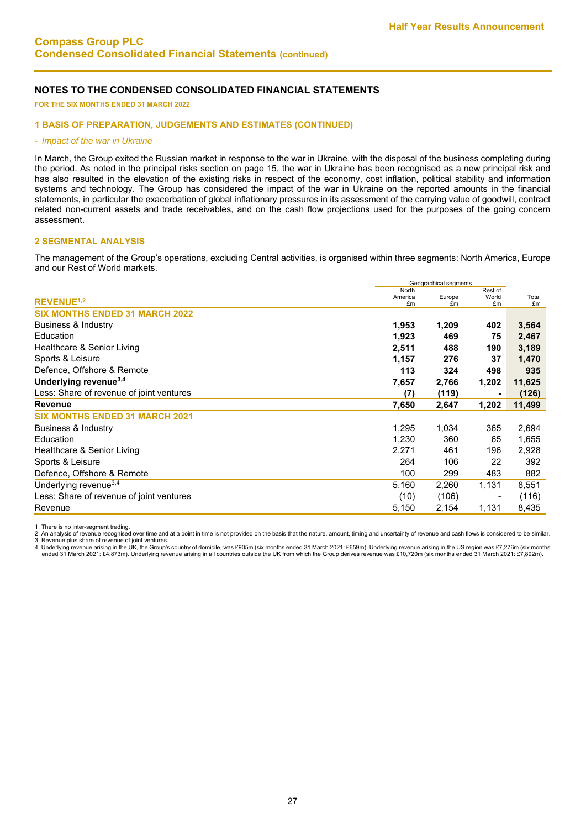**FOR THE SIX MONTHS ENDED 31 MARCH 2022**

#### **1 BASIS OF PREPARATION, JUDGEMENTS AND ESTIMATES (CONTINUED)**

#### - *Impact of the war in Ukraine*

In March, the Group exited the Russian market in response to the war in Ukraine, with the disposal of the business completing during the period. As noted in the principal risks section on page 15, the war in Ukraine has been recognised as a new principal risk and has also resulted in the elevation of the existing risks in respect of the economy, cost inflation, political stability and information systems and technology. The Group has considered the impact of the war in Ukraine on the reported amounts in the financial statements, in particular the exacerbation of global inflationary pressures in its assessment of the carrying value of goodwill, contract related non-current assets and trade receivables, and on the cash flow projections used for the purposes of the going concern assessment.

#### **2 SEGMENTAL ANALYSIS**

The management of the Group's operations, excluding Central activities, is organised within three segments: North America, Europe and our Rest of World markets.

|                                          |               | Geographical segments |             |             |
|------------------------------------------|---------------|-----------------------|-------------|-------------|
|                                          | North         |                       | Rest of     |             |
| <b>REVENUE<sup>1,2</sup></b>             | America<br>£m | Europe<br>£m          | World<br>£m | Total<br>£m |
| <b>SIX MONTHS ENDED 31 MARCH 2022</b>    |               |                       |             |             |
| <b>Business &amp; Industry</b>           | 1,953         | 1,209                 | 402         | 3,564       |
| Education                                | 1,923         | 469                   | 75          | 2,467       |
| Healthcare & Senior Living               | 2,511         | 488                   | 190         | 3,189       |
| Sports & Leisure                         | 1,157         | 276                   | 37          | 1,470       |
| Defence, Offshore & Remote               | 113           | 324                   | 498         | 935         |
| Underlying revenue <sup>3,4</sup>        | 7,657         | 2,766                 | 1,202       | 11,625      |
| Less: Share of revenue of joint ventures | (7)           | (119)                 | ۰           | (126)       |
| <b>Revenue</b>                           | 7,650         | 2,647                 | 1,202       | 11,499      |
| <b>SIX MONTHS ENDED 31 MARCH 2021</b>    |               |                       |             |             |
| Business & Industry                      | 1,295         | 1,034                 | 365         | 2,694       |
| Education                                | 1,230         | 360                   | 65          | 1,655       |
| Healthcare & Senior Living               | 2,271         | 461                   | 196         | 2,928       |
| Sports & Leisure                         | 264           | 106                   | 22          | 392         |
| Defence, Offshore & Remote               | 100           | 299                   | 483         | 882         |
| Underlying revenue <sup>3,4</sup>        | 5,160         | 2,260                 | 1,131       | 8,551       |
| Less: Share of revenue of joint ventures | (10)          | (106)                 |             | (116)       |
| Revenue                                  | 5,150         | 2,154                 | 1,131       | 8,435       |
|                                          |               |                       |             |             |

1. There is no inter-segment trading.<br>2. An analysis of revenue recognised over time and at a point in time is not provided on the basis that the nature, amount, timing and uncertainty of revenue and cash flows is consider

3. Revenue plus share of revenue of joint ventures.<br>4. Underlying revenue arising in the UK, the Group's country of domicile, was £905m (six months ended 31 March 2021: £659m). Underlying revenue arising in the US region w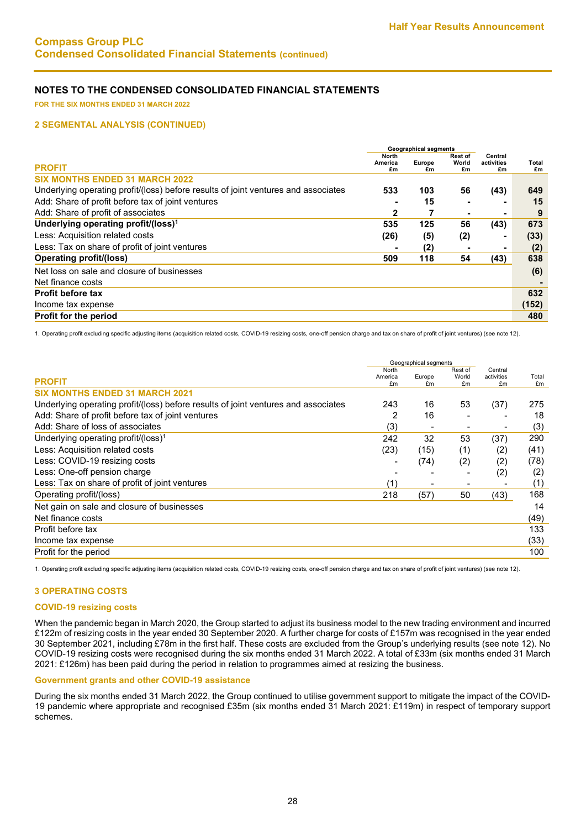**FOR THE SIX MONTHS ENDED 31 MARCH 2022**

#### **2 SEGMENTAL ANALYSIS (CONTINUED)**

|                                                                                    |               | <b>Geographical segments</b> |                |                  |             |
|------------------------------------------------------------------------------------|---------------|------------------------------|----------------|------------------|-------------|
|                                                                                    | <b>North</b>  |                              | <b>Rest of</b> | Central          |             |
| <b>PROFIT</b>                                                                      | America<br>£m | Europe<br>£m                 | World<br>£m    | activities<br>£m | Total<br>£m |
| <b>SIX MONTHS ENDED 31 MARCH 2022</b>                                              |               |                              |                |                  |             |
| Underlying operating profit/(loss) before results of joint ventures and associates | 533           | 103                          | 56             | (43)             | 649         |
| Add: Share of profit before tax of joint ventures                                  |               | 15                           |                | ۰                | 15          |
| Add: Share of profit of associates                                                 | 2             |                              |                |                  | 9           |
| Underlying operating profit/(loss) <sup>1</sup>                                    | 535           | 125                          | 56             | (43)             | 673         |
| Less: Acquisition related costs                                                    | (26)          | (5)                          | (2)            | -                | (33)        |
| Less: Tax on share of profit of joint ventures                                     |               | (2)                          |                | ۰                | (2)         |
| <b>Operating profit/(loss)</b>                                                     | 509           | 118                          | 54             | (43)             | 638         |
| Net loss on sale and closure of businesses                                         |               |                              |                |                  | (6)         |
| Net finance costs                                                                  |               |                              |                |                  |             |
| <b>Profit before tax</b>                                                           |               |                              |                |                  | 632         |
| Income tax expense                                                                 |               |                              |                |                  | (152)       |
| <b>Profit for the period</b>                                                       |               |                              |                |                  | 480         |

1. Operating profit excluding specific adjusting items (acquisition related costs, COVID-19 resizing costs, one-off pension charge and tax on share of profit of joint ventures) (see note 12).

|                                                                                    |                          | Geographical segments |                        |                             |             |
|------------------------------------------------------------------------------------|--------------------------|-----------------------|------------------------|-----------------------------|-------------|
| <b>PROFIT</b>                                                                      | North<br>America<br>£m   | Europe<br>£m          | Rest of<br>World<br>£m | Central<br>activities<br>£m | Total<br>£m |
| <b>SIX MONTHS ENDED 31 MARCH 2021</b>                                              |                          |                       |                        |                             |             |
| Underlying operating profit/(loss) before results of joint ventures and associates | 243                      | 16                    | 53                     | (37)                        | 275         |
| Add: Share of profit before tax of joint ventures                                  | 2                        | 16                    |                        |                             | 18          |
| Add: Share of loss of associates                                                   | (3)                      |                       |                        | $\overline{\phantom{0}}$    | (3)         |
| Underlying operating profit/(loss) <sup>1</sup>                                    | 242                      | 32                    | 53                     | (37)                        | 290         |
| Less: Acquisition related costs                                                    | (23)                     | (15)                  | (1)                    | (2)                         | (41)        |
| Less: COVID-19 resizing costs                                                      | $\overline{\phantom{0}}$ | (74)                  | (2)                    | (2)                         | (78)        |
| Less: One-off pension charge                                                       |                          |                       |                        | (2)                         | (2)         |
| Less: Tax on share of profit of joint ventures                                     | (1)                      |                       |                        |                             | (1)         |
| Operating profit/(loss)                                                            | 218                      | (57)                  | 50                     | (43)                        | 168         |
| Net gain on sale and closure of businesses                                         |                          |                       |                        |                             | 14          |
| Net finance costs                                                                  |                          |                       |                        |                             | (49)        |
| Profit before tax                                                                  |                          |                       |                        |                             | 133         |
| Income tax expense                                                                 |                          |                       |                        |                             | (33)        |
| Profit for the period                                                              |                          |                       |                        |                             | 100         |

1. Operating profit excluding specific adjusting items (acquisition related costs, COVID-19 resizing costs, one-off pension charge and tax on share of profit of joint ventures) (see note 12).

#### **3 OPERATING COSTS**

#### **COVID-19 resizing costs**

When the pandemic began in March 2020, the Group started to adjust its business model to the new trading environment and incurred £122m of resizing costs in the year ended 30 September 2020. A further charge for costs of £157m was recognised in the year ended 30 September 2021, including £78m in the first half. These costs are excluded from the Group's underlying results (see note 12). No COVID-19 resizing costs were recognised during the six months ended 31 March 2022. A total of £33m (six months ended 31 March 2021: £126m) has been paid during the period in relation to programmes aimed at resizing the business.

#### **Government grants and other COVID-19 assistance**

During the six months ended 31 March 2022, the Group continued to utilise government support to mitigate the impact of the COVID-19 pandemic where appropriate and recognised £35m (six months ended 31 March 2021: £119m) in respect of temporary support schemes.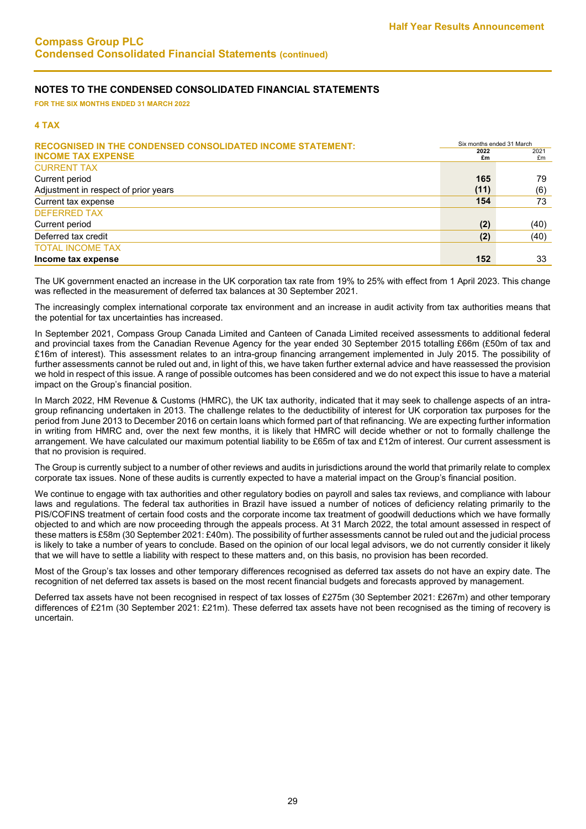**FOR THE SIX MONTHS ENDED 31 MARCH 2022**

#### **4 TAX**

| <b>RECOGNISED IN THE CONDENSED CONSOLIDATED INCOME STATEMENT:</b> |      | Six months ended 31 March |  |  |  |
|-------------------------------------------------------------------|------|---------------------------|--|--|--|
| <b>INCOME TAX EXPENSE</b>                                         | 2022 | 2021                      |  |  |  |
|                                                                   | £m   | £m                        |  |  |  |
| <b>CURRENT TAX</b>                                                |      |                           |  |  |  |
| Current period                                                    | 165  | 79                        |  |  |  |
| Adjustment in respect of prior years                              | (11) | (6)                       |  |  |  |
| Current tax expense                                               | 154  | 73                        |  |  |  |
| <b>DEFERRED TAX</b>                                               |      |                           |  |  |  |
| Current period                                                    | (2)  | (40)                      |  |  |  |
| Deferred tax credit                                               | (2)  | (40)                      |  |  |  |
| <b>TOTAL INCOME TAX</b>                                           |      |                           |  |  |  |
| Income tax expense                                                | 152  | 33                        |  |  |  |

The UK government enacted an increase in the UK corporation tax rate from 19% to 25% with effect from 1 April 2023. This change was reflected in the measurement of deferred tax balances at 30 September 2021.

The increasingly complex international corporate tax environment and an increase in audit activity from tax authorities means that the potential for tax uncertainties has increased.

In September 2021, Compass Group Canada Limited and Canteen of Canada Limited received assessments to additional federal and provincial taxes from the Canadian Revenue Agency for the year ended 30 September 2015 totalling £66m (£50m of tax and £16m of interest). This assessment relates to an intra-group financing arrangement implemented in July 2015. The possibility of further assessments cannot be ruled out and, in light of this, we have taken further external advice and have reassessed the provision we hold in respect of this issue. A range of possible outcomes has been considered and we do not expect this issue to have a material impact on the Group's financial position.

In March 2022, HM Revenue & Customs (HMRC), the UK tax authority, indicated that it may seek to challenge aspects of an intragroup refinancing undertaken in 2013. The challenge relates to the deductibility of interest for UK corporation tax purposes for the period from June 2013 to December 2016 on certain loans which formed part of that refinancing. We are expecting further information in writing from HMRC and, over the next few months, it is likely that HMRC will decide whether or not to formally challenge the arrangement. We have calculated our maximum potential liability to be £65m of tax and £12m of interest. Our current assessment is that no provision is required.

The Group is currently subject to a number of other reviews and audits in jurisdictions around the world that primarily relate to complex corporate tax issues. None of these audits is currently expected to have a material impact on the Group's financial position.

We continue to engage with tax authorities and other regulatory bodies on payroll and sales tax reviews, and compliance with labour laws and regulations. The federal tax authorities in Brazil have issued a number of notices of deficiency relating primarily to the PIS/COFINS treatment of certain food costs and the corporate income tax treatment of goodwill deductions which we have formally objected to and which are now proceeding through the appeals process. At 31 March 2022, the total amount assessed in respect of these matters is £58m (30 September 2021: £40m). The possibility of further assessments cannot be ruled out and the judicial process is likely to take a number of years to conclude. Based on the opinion of our local legal advisors, we do not currently consider it likely that we will have to settle a liability with respect to these matters and, on this basis, no provision has been recorded.

Most of the Group's tax losses and other temporary differences recognised as deferred tax assets do not have an expiry date. The recognition of net deferred tax assets is based on the most recent financial budgets and forecasts approved by management.

Deferred tax assets have not been recognised in respect of tax losses of £275m (30 September 2021: £267m) and other temporary differences of £21m (30 September 2021: £21m). These deferred tax assets have not been recognised as the timing of recovery is uncertain.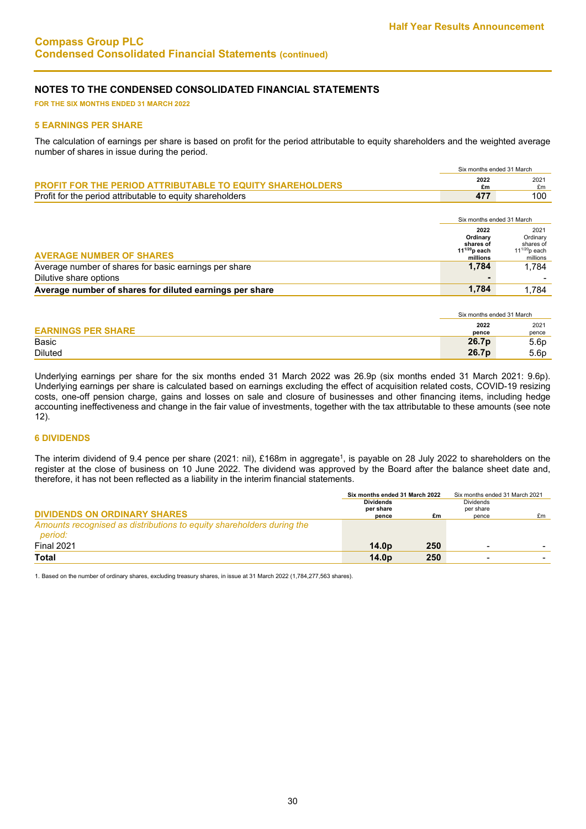**FOR THE SIX MONTHS ENDED 31 MARCH 2022**

#### **5 EARNINGS PER SHARE**

The calculation of earnings per share is based on profit for the period attributable to equity shareholders and the weighted average number of shares in issue during the period.

|                                                                  | Six months ended 31 March |            |
|------------------------------------------------------------------|---------------------------|------------|
| <b>PROFIT FOR THE PERIOD ATTRIBUTABLE TO EQUITY SHAREHOLDERS</b> | 2022<br>£m                | 2021<br>£m |
| Profit for the period attributable to equity shareholders        | 477                       | 100        |

|                                                         |                                                                 | Six months ended 31 March                                       |
|---------------------------------------------------------|-----------------------------------------------------------------|-----------------------------------------------------------------|
| <b>AVERAGE NUMBER OF SHARES</b>                         | 2022<br>Ordinary<br>shares of<br>$11^{1/20}$ p each<br>millions | 2021<br>Ordinary<br>shares of<br>$11^{1/20}$ p each<br>millions |
| Average number of shares for basic earnings per share   | 1.784                                                           | 1.784                                                           |
| Dilutive share options                                  |                                                                 |                                                                 |
| Average number of shares for diluted earnings per share | 1.784                                                           | 1.784                                                           |

|                           | Six months ended 31 March |                  |
|---------------------------|---------------------------|------------------|
| <b>EARNINGS PER SHARE</b> | 2022<br>pence             | 2021<br>pence    |
| Basic                     | 26.7p                     | 5.6p             |
| <b>Diluted</b>            | 26.7p                     | 5.6 <sub>p</sub> |

Underlying earnings per share for the six months ended 31 March 2022 was 26.9p (six months ended 31 March 2021: 9.6p). Underlying earnings per share is calculated based on earnings excluding the effect of acquisition related costs, COVID-19 resizing costs, one-off pension charge, gains and losses on sale and closure of businesses and other financing items, including hedge accounting ineffectiveness and change in the fair value of investments, together with the tax attributable to these amounts (see note 12).

### **6 DIVIDENDS**

The interim dividend of 9.4 pence per share (2021: nil), £168m in aggregate<sup>1</sup>, is payable on 28 July 2022 to shareholders on the register at the close of business on 10 June 2022. The dividend was approved by the Board after the balance sheet date and, therefore, it has not been reflected as a liability in the interim financial statements.

|                                                                                  | Six months ended 31 March 2022 |     | Six months ended 31 March 2021 |    |
|----------------------------------------------------------------------------------|--------------------------------|-----|--------------------------------|----|
|                                                                                  | <b>Dividends</b><br>per share  |     | <b>Dividends</b><br>per share  |    |
| <b>DIVIDENDS ON ORDINARY SHARES</b>                                              | pence                          | £m  | pence                          | £m |
| Amounts recognised as distributions to equity shareholders during the<br>period: |                                |     |                                |    |
| <b>Final 2021</b>                                                                | 14.0 <sub>D</sub>              | 250 |                                |    |
| Total                                                                            | 14.0 <sub>D</sub>              | 250 |                                |    |

1. Based on the number of ordinary shares, excluding treasury shares, in issue at 31 March 2022 (1,784,277,563 shares).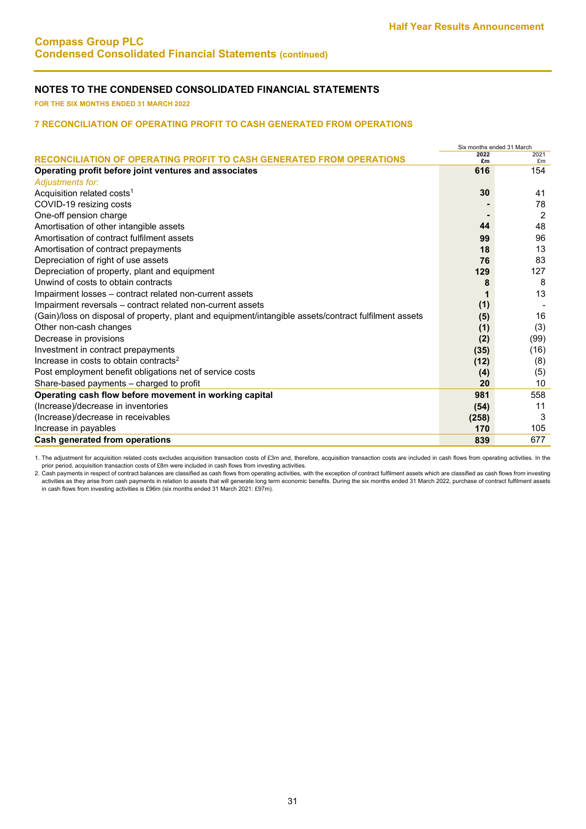**FOR THE SIX MONTHS ENDED 31 MARCH 2022**

#### **7 RECONCILIATION OF OPERATING PROFIT TO CASH GENERATED FROM OPERATIONS**

|                                                                                                       | Six months ended 31 March |                |
|-------------------------------------------------------------------------------------------------------|---------------------------|----------------|
| RECONCILIATION OF OPERATING PROFIT TO CASH GENERATED FROM OPERATIONS                                  | 2022<br>£m                | 2021<br>£m     |
| Operating profit before joint ventures and associates                                                 | 616                       | 154            |
| Adjustments for:                                                                                      |                           |                |
| Acquisition related costs <sup>1</sup>                                                                | 30                        | 41             |
| COVID-19 resizing costs                                                                               |                           | 78             |
| One-off pension charge                                                                                |                           | $\overline{2}$ |
| Amortisation of other intangible assets                                                               | 44                        | 48             |
| Amortisation of contract fulfilment assets                                                            | 99                        | 96             |
| Amortisation of contract prepayments                                                                  | 18                        | 13             |
| Depreciation of right of use assets                                                                   | 76                        | 83             |
| Depreciation of property, plant and equipment                                                         | 129                       | 127            |
| Unwind of costs to obtain contracts                                                                   | 8                         | 8              |
| Impairment losses - contract related non-current assets                                               |                           | 13             |
| Impairment reversals - contract related non-current assets                                            | (1)                       |                |
| (Gain)/loss on disposal of property, plant and equipment/intangible assets/contract fulfilment assets | (5)                       | 16             |
| Other non-cash changes                                                                                | (1)                       | (3)            |
| Decrease in provisions                                                                                | (2)                       | (99)           |
| Investment in contract prepayments                                                                    | (35)                      | (16)           |
| Increase in costs to obtain contracts <sup>2</sup>                                                    | (12)                      | (8)            |
| Post employment benefit obligations net of service costs                                              | (4)                       | (5)            |
| Share-based payments - charged to profit                                                              | 20                        | 10             |
| Operating cash flow before movement in working capital                                                | 981                       | 558            |
| (Increase)/decrease in inventories                                                                    | (54)                      | 11             |
| (Increase)/decrease in receivables                                                                    | (258)                     | 3              |
| Increase in payables                                                                                  | 170                       | 105            |
| Cash generated from operations                                                                        | 839                       | 677            |

1. The adjustment for acquisition related costs excludes acquisition transaction costs of £3m and, therefore, acquisition transaction costs are included in cash flows from operating activities. In the

prior period, acquisition transaction costs of £8m were included in cash flows from investing activities.<br>2. Cash payments in respect of contract balances are classified as cash flows from operating activities, with the ex activities as they arise from cash payments in relation to assets that will generate long term economic benefits. During the six months ended 31 March 2022, purchase of contract fulfilment assets in cash flows from investing activities is £96m (six months ended 31 March 2021: £97m).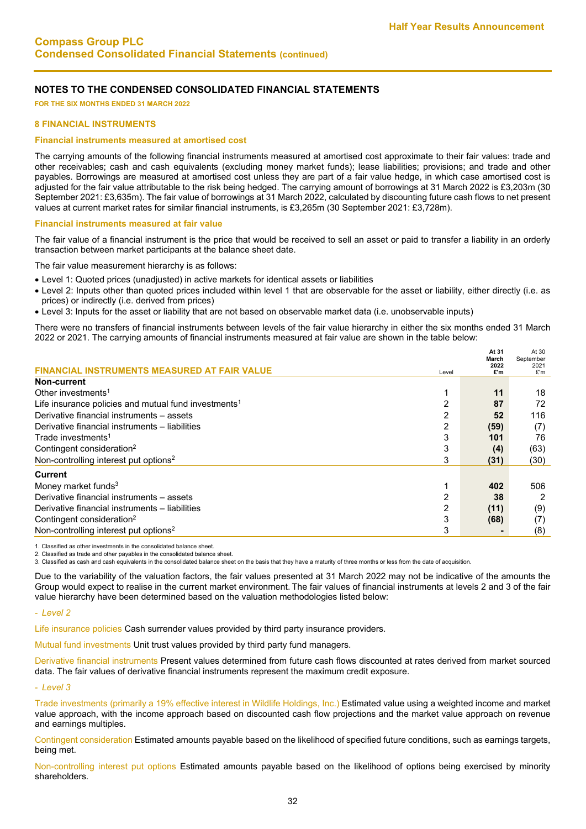**FOR THE SIX MONTHS ENDED 31 MARCH 2022**

#### **8 FINANCIAL INSTRUMENTS**

#### **Financial instruments measured at amortised cost**

The carrying amounts of the following financial instruments measured at amortised cost approximate to their fair values: trade and other receivables; cash and cash equivalents (excluding money market funds); lease liabilities; provisions; and trade and other payables. Borrowings are measured at amortised cost unless they are part of a fair value hedge, in which case amortised cost is adjusted for the fair value attributable to the risk being hedged. The carrying amount of borrowings at 31 March 2022 is £3,203m (30 September 2021: £3,635m). The fair value of borrowings at 31 March 2022, calculated by discounting future cash flows to net present values at current market rates for similar financial instruments, is £3,265m (30 September 2021: £3,728m).

#### **Financial instruments measured at fair value**

The fair value of a financial instrument is the price that would be received to sell an asset or paid to transfer a liability in an orderly transaction between market participants at the balance sheet date.

The fair value measurement hierarchy is as follows:

- Level 1: Quoted prices (unadjusted) in active markets for identical assets or liabilities
- Level 2: Inputs other than quoted prices included within level 1 that are observable for the asset or liability, either directly (i.e. as prices) or indirectly (i.e. derived from prices)
- Level 3: Inputs for the asset or liability that are not based on observable market data (i.e. unobservable inputs)

There were no transfers of financial instruments between levels of the fair value hierarchy in either the six months ended 31 March 2022 or 2021. The carrying amounts of financial instruments measured at fair value are shown in the table below:

|                                                                  |       | At 31<br>March | At 30<br>September |
|------------------------------------------------------------------|-------|----------------|--------------------|
| <b>STRUMENTS MEASURED AT FAIR VALUE</b>                          | Level | 2022<br>£'m    | 2021<br>£'m        |
| Non-current                                                      |       |                |                    |
| Other investments <sup>1</sup>                                   |       | 11             | 18                 |
| Life insurance policies and mutual fund investments <sup>1</sup> | 2     | 87             | 72                 |
| Derivative financial instruments - assets                        | 2     | 52             | 116                |
| Derivative financial instruments - liabilities                   | 2     | (59)           | (7)                |
| Trade investments <sup>1</sup>                                   | 3     | 101            | 76                 |
| Contingent consideration <sup>2</sup>                            | 3     | (4)            | (63)               |
| Non-controlling interest put options <sup>2</sup>                | 3     | (31)           | (30)               |
| <b>Current</b>                                                   |       |                |                    |
| Money market funds $3$                                           |       | 402            | 506                |
| Derivative financial instruments - assets                        | 2     | 38             | 2                  |
| Derivative financial instruments - liabilities                   | 2     | (11)           | (9)                |
| Contingent consideration <sup>2</sup>                            | 3     | (68)           | (7)                |
| Non-controlling interest put options <sup>2</sup>                | 3     |                | (8)                |

1. Classified as other investments in the consolidated balance sheet.

2. Classified as trade and other payables in the consolidated balance sheet.

3. Classified as cash and cash equivalents in the consolidated balance sheet on the basis that they have a maturity of three months or less from the date of acquisition.

Due to the variability of the valuation factors, the fair values presented at 31 March 2022 may not be indicative of the amounts the Group would expect to realise in the current market environment. The fair values of financial instruments at levels 2 and 3 of the fair value hierarchy have been determined based on the valuation methodologies listed below:

- *Level 2*

Life insurance policies Cash surrender values provided by third party insurance providers.

Mutual fund investments Unit trust values provided by third party fund managers.

Derivative financial instruments Present values determined from future cash flows discounted at rates derived from market sourced data. The fair values of derivative financial instruments represent the maximum credit exposure.

- *Level 3*

Trade investments (primarily a 19% effective interest in Wildlife Holdings, Inc.) Estimated value using a weighted income and market value approach, with the income approach based on discounted cash flow projections and the market value approach on revenue and earnings multiples.

Contingent consideration Estimated amounts payable based on the likelihood of specified future conditions, such as earnings targets, being met.

Non-controlling interest put options Estimated amounts payable based on the likelihood of options being exercised by minority shareholders.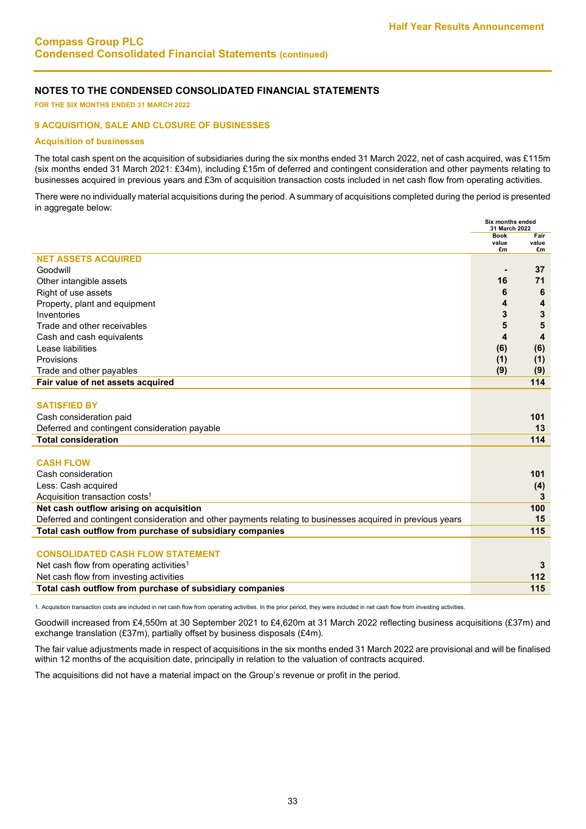**FOR THE SIX MONTHS ENDED 31 MARCH 2022**

#### **9 ACQUISITION, SALE AND CLOSURE OF BUSINESSES**

#### **Acquisition of businesses**

The total cash spent on the acquisition of subsidiaries during the six months ended 31 March 2022, net of cash acquired, was £115m (six months ended 31 March 2021: £34m), including £15m of deferred and contingent consideration and other payments relating to businesses acquired in previous years and £3m of acquisition transaction costs included in net cash flow from operating activities.

There were no individually material acquisitions during the period. A summary of acquisitions completed during the period is presented in aggregate below:

|                                                                                                            | Six months ended<br>31 March 2022 |               |
|------------------------------------------------------------------------------------------------------------|-----------------------------------|---------------|
|                                                                                                            | <b>Book</b><br>value              | Fair<br>value |
|                                                                                                            | £m                                | £m            |
| <b>NET ASSETS ACQUIRED</b>                                                                                 |                                   |               |
| Goodwill                                                                                                   |                                   | 37            |
| Other intangible assets                                                                                    | 16                                | 71            |
| Right of use assets                                                                                        | 6                                 | 6             |
| Property, plant and equipment                                                                              | 4                                 | 4             |
| Inventories                                                                                                | 3                                 | 3             |
| Trade and other receivables                                                                                | 5                                 | 5             |
| Cash and cash equivalents                                                                                  | 4                                 | 4             |
| Lease liabilities                                                                                          | (6)                               | (6)           |
| Provisions                                                                                                 | (1)                               | (1)           |
| Trade and other payables                                                                                   | (9)                               | (9)           |
| Fair value of net assets acquired                                                                          |                                   | 114           |
|                                                                                                            |                                   |               |
| <b>SATISFIED BY</b>                                                                                        |                                   |               |
| Cash consideration paid                                                                                    |                                   | 101           |
| Deferred and contingent consideration payable                                                              |                                   | 13            |
| <b>Total consideration</b>                                                                                 |                                   | 114           |
|                                                                                                            |                                   |               |
| <b>CASH FLOW</b>                                                                                           |                                   |               |
| Cash consideration                                                                                         |                                   | 101           |
| Less: Cash acquired                                                                                        |                                   | (4)           |
| Acquisition transaction costs <sup>1</sup>                                                                 |                                   | 3             |
| Net cash outflow arising on acquisition                                                                    |                                   | 100           |
| Deferred and contingent consideration and other payments relating to businesses acquired in previous years |                                   | 15            |
| Total cash outflow from purchase of subsidiary companies                                                   |                                   | 115           |
|                                                                                                            |                                   |               |
| <b>CONSOLIDATED CASH FLOW STATEMENT</b>                                                                    |                                   |               |
| Net cash flow from operating activities <sup>1</sup>                                                       |                                   | 3             |
| Net cash flow from investing activities                                                                    |                                   | 112           |
| Total cash outflow from purchase of subsidiary companies                                                   |                                   | 115           |
|                                                                                                            |                                   |               |

1. Acquisition transaction costs are included in net cash flow from operating activities. In the prior period, they were included in net cash flow from investing activities.

Goodwill increased from £4,550m at 30 September 2021 to £4,620m at 31 March 2022 reflecting business acquisitions (£37m) and exchange translation (£37m), partially offset by business disposals (£4m).

The fair value adjustments made in respect of acquisitions in the six months ended 31 March 2022 are provisional and will be finalised within 12 months of the acquisition date, principally in relation to the valuation of contracts acquired.

The acquisitions did not have a material impact on the Group's revenue or profit in the period.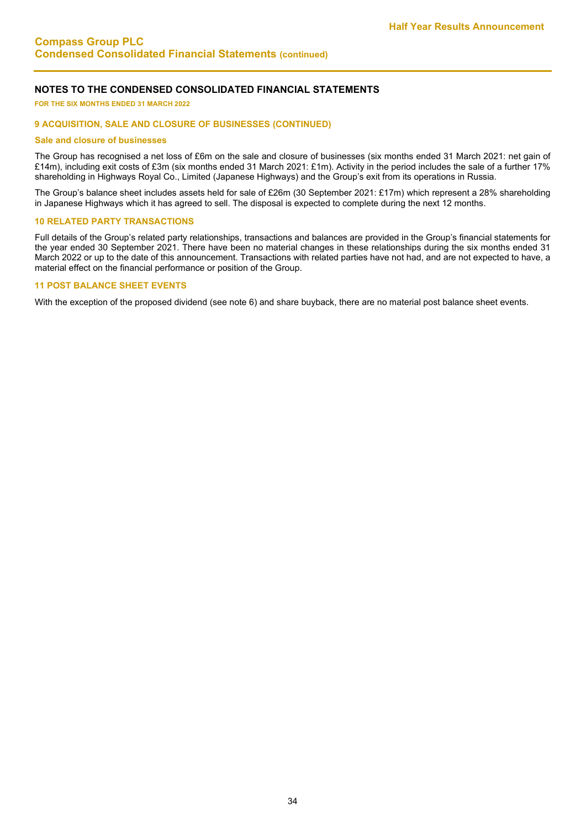**FOR THE SIX MONTHS ENDED 31 MARCH 2022** 

#### **9 ACQUISITION, SALE AND CLOSURE OF BUSINESSES (CONTINUED)**

#### **Sale and closure of businesses**

The Group has recognised a net loss of £6m on the sale and closure of businesses (six months ended 31 March 2021: net gain of £14m), including exit costs of £3m (six months ended 31 March 2021: £1m). Activity in the period includes the sale of a further 17% shareholding in Highways Royal Co., Limited (Japanese Highways) and the Group's exit from its operations in Russia.

The Group's balance sheet includes assets held for sale of £26m (30 September 2021: £17m) which represent a 28% shareholding in Japanese Highways which it has agreed to sell. The disposal is expected to complete during the next 12 months.

#### **10 RELATED PARTY TRANSACTIONS**

Full details of the Group's related party relationships, transactions and balances are provided in the Group's financial statements for the year ended 30 September 2021. There have been no material changes in these relationships during the six months ended 31 March 2022 or up to the date of this announcement. Transactions with related parties have not had, and are not expected to have, a material effect on the financial performance or position of the Group.

#### **11 POST BALANCE SHEET EVENTS**

With the exception of the proposed dividend (see note 6) and share buyback, there are no material post balance sheet events.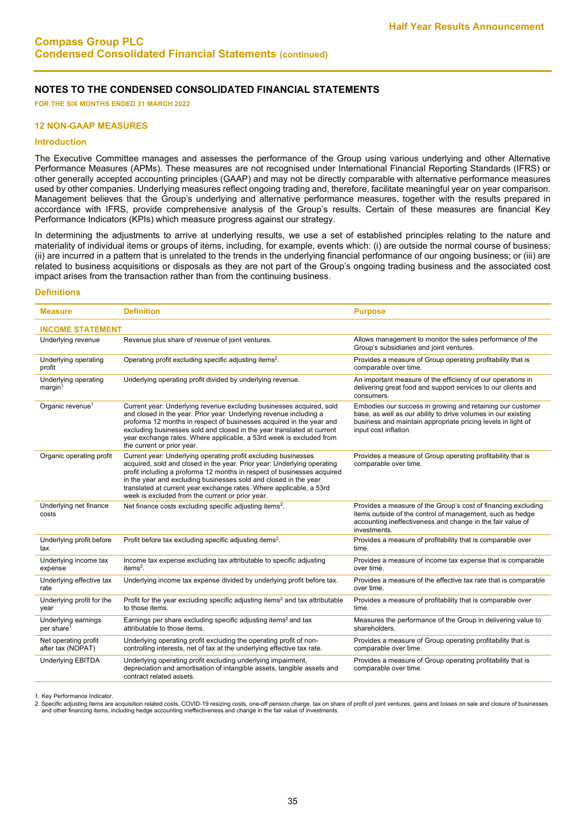**FOR THE SIX MONTHS ENDED 31 MARCH 2022**

#### **12 NON-GAAP MEASURES**

#### **Introduction**

The Executive Committee manages and assesses the performance of the Group using various underlying and other Alternative Performance Measures (APMs). These measures are not recognised under International Financial Reporting Standards (IFRS) or other generally accepted accounting principles (GAAP) and may not be directly comparable with alternative performance measures used by other companies. Underlying measures reflect ongoing trading and, therefore, facilitate meaningful year on year comparison. Management believes that the Group's underlying and alternative performance measures, together with the results prepared in accordance with IFRS, provide comprehensive analysis of the Group's results. Certain of these measures are financial Key Performance Indicators (KPIs) which measure progress against our strategy.

In determining the adjustments to arrive at underlying results, we use a set of established principles relating to the nature and materiality of individual items or groups of items, including, for example, events which: (i) are outside the normal course of business; (ii) are incurred in a pattern that is unrelated to the trends in the underlying financial performance of our ongoing business; or (iii) are related to business acquisitions or disposals as they are not part of the Group's ongoing trading business and the associated cost impact arises from the transaction rather than from the continuing business.

#### **Definitions**

| <b>Measure</b>                                 | <b>Definition</b>                                                                                                                                                                                                                                                                                                                                                                                                   | <b>Purpose</b>                                                                                                                                                                                                       |
|------------------------------------------------|---------------------------------------------------------------------------------------------------------------------------------------------------------------------------------------------------------------------------------------------------------------------------------------------------------------------------------------------------------------------------------------------------------------------|----------------------------------------------------------------------------------------------------------------------------------------------------------------------------------------------------------------------|
| <b>INCOME STATEMENT</b>                        |                                                                                                                                                                                                                                                                                                                                                                                                                     |                                                                                                                                                                                                                      |
| Underlying revenue                             | Revenue plus share of revenue of joint ventures.                                                                                                                                                                                                                                                                                                                                                                    | Allows management to monitor the sales performance of the<br>Group's subsidiaries and joint ventures.                                                                                                                |
| Underlying operating<br>profit                 | Operating profit excluding specific adjusting items <sup>2</sup> .                                                                                                                                                                                                                                                                                                                                                  | Provides a measure of Group operating profitability that is<br>comparable over time.                                                                                                                                 |
| Underlying operating<br>$m$ arqin <sup>1</sup> | Underlying operating profit divided by underlying revenue.                                                                                                                                                                                                                                                                                                                                                          | An important measure of the efficiency of our operations in<br>delivering great food and support services to our clients and<br>consumers.                                                                           |
| Organic revenue <sup>1</sup>                   | Current year: Underlying revenue excluding businesses acquired, sold<br>and closed in the year. Prior year: Underlying revenue including a<br>proforma 12 months in respect of businesses acquired in the year and<br>excluding businesses sold and closed in the year translated at current<br>year exchange rates. Where applicable, a 53rd week is excluded from<br>the current or prior year.                   | Embodies our success in growing and retaining our customer<br>base, as well as our ability to drive volumes in our existing<br>business and maintain appropriate pricing levels in light of<br>input cost inflation. |
| Organic operating profit                       | Current year: Underlying operating profit excluding businesses<br>acquired, sold and closed in the year. Prior year: Underlying operating<br>profit including a proforma 12 months in respect of businesses acquired<br>in the year and excluding businesses sold and closed in the year<br>translated at current year exchange rates. Where applicable, a 53rd<br>week is excluded from the current or prior year. | Provides a measure of Group operating profitability that is<br>comparable over time.                                                                                                                                 |
| Underlying net finance<br>costs                | Net finance costs excluding specific adjusting items <sup>2</sup> .                                                                                                                                                                                                                                                                                                                                                 | Provides a measure of the Group's cost of financing excluding<br>items outside of the control of management, such as hedge<br>accounting ineffectiveness and change in the fair value of<br>investments.             |
| Underlying profit before<br>tax                | Profit before tax excluding specific adjusting items <sup>2</sup> .                                                                                                                                                                                                                                                                                                                                                 | Provides a measure of profitability that is comparable over<br>time.                                                                                                                                                 |
| Underlying income tax<br>expense               | Income tax expense excluding tax attributable to specific adjusting<br>item $s^2$ .                                                                                                                                                                                                                                                                                                                                 | Provides a measure of income tax expense that is comparable<br>over time.                                                                                                                                            |
| Underlying effective tax<br>rate               | Underlying income tax expense divided by underlying profit before tax.                                                                                                                                                                                                                                                                                                                                              | Provides a measure of the effective tax rate that is comparable<br>over time.                                                                                                                                        |
| Underlying profit for the<br>year              | Profit for the year excluding specific adjusting items <sup>2</sup> and tax attributable<br>to those items.                                                                                                                                                                                                                                                                                                         | Provides a measure of profitability that is comparable over<br>time.                                                                                                                                                 |
| Underlying earnings<br>per share <sup>1</sup>  | Earnings per share excluding specific adjusting items <sup>2</sup> and tax<br>attributable to those items.                                                                                                                                                                                                                                                                                                          | Measures the performance of the Group in delivering value to<br>shareholders.                                                                                                                                        |
| Net operating profit<br>after tax (NOPAT)      | Underlying operating profit excluding the operating profit of non-<br>controlling interests, net of tax at the underlying effective tax rate.                                                                                                                                                                                                                                                                       | Provides a measure of Group operating profitability that is<br>comparable over time.                                                                                                                                 |
| <b>Underlying EBITDA</b>                       | Underlying operating profit excluding underlying impairment,<br>depreciation and amortisation of intangible assets, tangible assets and<br>contract related assets.                                                                                                                                                                                                                                                 | Provides a measure of Group operating profitability that is<br>comparable over time.                                                                                                                                 |

1. Key Performance Indicator.

2. Specific adjusting items are acquisition related costs, COVID-19 resizing costs, one-off pension charge, tax on share of profit of joint ventures, gains and losses on sale and closure of businesses<br>and other financing i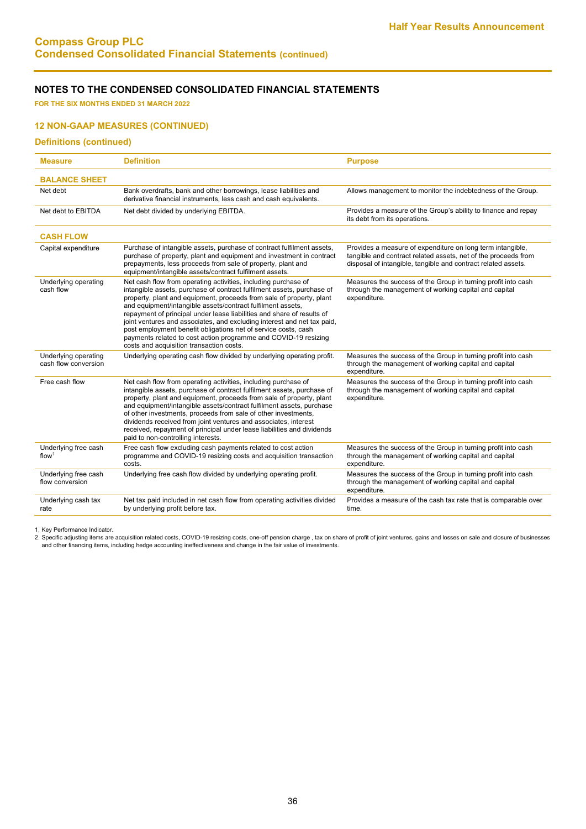**FOR THE SIX MONTHS ENDED 31 MARCH 2022**

### **12 NON-GAAP MEASURES (CONTINUED)**

#### **Definitions (continued)**

| <b>Measure</b>                               | <b>Definition</b>                                                                                                                                                                                                                                                                                                                                                                                                                                                                                                                                                                                                     | <b>Purpose</b>                                                                                                                                                                                |
|----------------------------------------------|-----------------------------------------------------------------------------------------------------------------------------------------------------------------------------------------------------------------------------------------------------------------------------------------------------------------------------------------------------------------------------------------------------------------------------------------------------------------------------------------------------------------------------------------------------------------------------------------------------------------------|-----------------------------------------------------------------------------------------------------------------------------------------------------------------------------------------------|
| <b>BALANCE SHEET</b>                         |                                                                                                                                                                                                                                                                                                                                                                                                                                                                                                                                                                                                                       |                                                                                                                                                                                               |
| Net debt                                     | Bank overdrafts, bank and other borrowings, lease liabilities and<br>derivative financial instruments, less cash and cash equivalents.                                                                                                                                                                                                                                                                                                                                                                                                                                                                                | Allows management to monitor the indebtedness of the Group.                                                                                                                                   |
| Net debt to EBITDA                           | Net debt divided by underlying EBITDA.                                                                                                                                                                                                                                                                                                                                                                                                                                                                                                                                                                                | Provides a measure of the Group's ability to finance and repay<br>its debt from its operations.                                                                                               |
| <b>CASH FLOW</b>                             |                                                                                                                                                                                                                                                                                                                                                                                                                                                                                                                                                                                                                       |                                                                                                                                                                                               |
| Capital expenditure                          | Purchase of intangible assets, purchase of contract fulfilment assets,<br>purchase of property, plant and equipment and investment in contract<br>prepayments, less proceeds from sale of property, plant and<br>equipment/intangible assets/contract fulfilment assets.                                                                                                                                                                                                                                                                                                                                              | Provides a measure of expenditure on long term intangible,<br>tangible and contract related assets, net of the proceeds from<br>disposal of intangible, tangible and contract related assets. |
| Underlying operating<br>cash flow            | Net cash flow from operating activities, including purchase of<br>intangible assets, purchase of contract fulfilment assets, purchase of<br>property, plant and equipment, proceeds from sale of property, plant<br>and equipment/intangible assets/contract fulfilment assets,<br>repayment of principal under lease liabilities and share of results of<br>joint ventures and associates, and excluding interest and net tax paid,<br>post employment benefit obligations net of service costs, cash<br>payments related to cost action programme and COVID-19 resizing<br>costs and acquisition transaction costs. | Measures the success of the Group in turning profit into cash<br>through the management of working capital and capital<br>expenditure.                                                        |
| Underlying operating<br>cash flow conversion | Underlying operating cash flow divided by underlying operating profit.                                                                                                                                                                                                                                                                                                                                                                                                                                                                                                                                                | Measures the success of the Group in turning profit into cash<br>through the management of working capital and capital<br>expenditure.                                                        |
| Free cash flow                               | Net cash flow from operating activities, including purchase of<br>intangible assets, purchase of contract fulfilment assets, purchase of<br>property, plant and equipment, proceeds from sale of property, plant<br>and equipment/intangible assets/contract fulfilment assets, purchase<br>of other investments, proceeds from sale of other investments,<br>dividends received from joint ventures and associates, interest<br>received, repayment of principal under lease liabilities and dividends<br>paid to non-controlling interests.                                                                         | Measures the success of the Group in turning profit into cash<br>through the management of working capital and capital<br>expenditure.                                                        |
| Underlying free cash<br>flow <sup>1</sup>    | Free cash flow excluding cash payments related to cost action<br>programme and COVID-19 resizing costs and acquisition transaction<br>costs.                                                                                                                                                                                                                                                                                                                                                                                                                                                                          | Measures the success of the Group in turning profit into cash<br>through the management of working capital and capital<br>expenditure.                                                        |
| Underlying free cash<br>flow conversion      | Underlying free cash flow divided by underlying operating profit.                                                                                                                                                                                                                                                                                                                                                                                                                                                                                                                                                     | Measures the success of the Group in turning profit into cash<br>through the management of working capital and capital<br>expenditure.                                                        |
| Underlying cash tax<br>rate                  | Net tax paid included in net cash flow from operating activities divided<br>by underlying profit before tax.                                                                                                                                                                                                                                                                                                                                                                                                                                                                                                          | Provides a measure of the cash tax rate that is comparable over<br>time.                                                                                                                      |

1. Key Performance Indicator.

2. Specific adjusting items are acquisition related costs, COVID-19 resizing costs, one-off pension charge , tax on share of profit of joint ventures, gains and losses on sale and closure of businesses<br>and other financing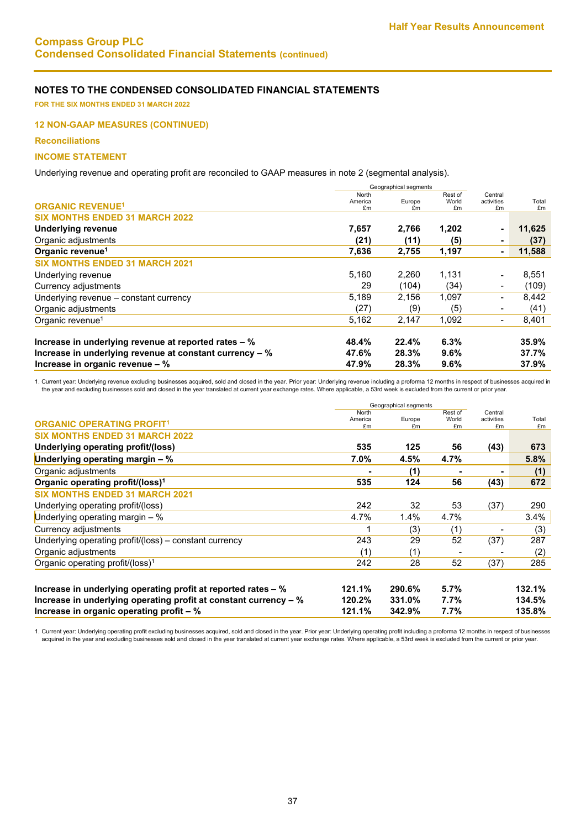**FOR THE SIX MONTHS ENDED 31 MARCH 2022** 

#### **12 NON-GAAP MEASURES (CONTINUED)**

**Reconciliations**

#### **INCOME STATEMENT**

Underlying revenue and operating profit are reconciled to GAAP measures in note 2 (segmental analysis).

| North   |        | Rest of        | Central                     |        |
|---------|--------|----------------|-----------------------------|--------|
| America | Europe | World          | activities                  | Total  |
|         |        |                |                             | £m     |
|         |        |                |                             |        |
| 7,657   | 2,766  | 1,202          | $\blacksquare$              | 11,625 |
| (21)    | (11)   | (5)            | $\blacksquare$              | (37)   |
| 7,636   | 2,755  | 1,197          | ۰                           | 11,588 |
|         |        |                |                             |        |
| 5,160   | 2,260  | 1,131          |                             | 8,551  |
| 29      | (104)  | (34)           | $\overline{\phantom{a}}$    | (109)  |
| 5,189   | 2,156  | 1,097          | $\overline{\phantom{a}}$    | 8,442  |
| (27)    | (9)    | (5)            |                             | (41)   |
| 5,162   | 2,147  | 1,092          | $\overline{\phantom{a}}$    | 8,401  |
| 48.4%   | 22.4%  | 6.3%           |                             | 35.9%  |
| 47.6%   | 28.3%  | 9.6%           |                             | 37.7%  |
| 47.9%   | 28.3%  | 9.6%           |                             | 37.9%  |
|         | £m     | E <sub>m</sub> | Geographical segments<br>£m | £m     |

1. Current year: Underlying revenue excluding businesses acquired, sold and closed in the year. Prior year: Underlying revenue including a proforma 12 months in respect of businesses acquired in the year and excluding businesses sold and closed in the year translated at current year exchange rates. Where applicable, a 53rd week is excluded from the current or prior year.

|                                                                  | Geographical segments     |              |             |                  |             |
|------------------------------------------------------------------|---------------------------|--------------|-------------|------------------|-------------|
|                                                                  | North                     |              | Rest of     | Central          |             |
| <b>ORGANIC OPERATING PROFIT1</b>                                 | America<br>f <sub>m</sub> | Europe<br>£m | World<br>£m | activities<br>£m | Total<br>£m |
| <b>SIX MONTHS ENDED 31 MARCH 2022</b>                            |                           |              |             |                  |             |
| Underlying operating profit/(loss)                               | 535                       | 125          | 56          | (43)             | 673         |
| Underlying operating margin $-$ %                                | 7.0%                      | 4.5%         | 4.7%        |                  | 5.8%        |
| Organic adjustments                                              |                           | (1)          |             |                  | (1)         |
| Organic operating profit/(loss) <sup>1</sup>                     | 535                       | 124          | 56          | (43)             | 672         |
| <b>SIX MONTHS ENDED 31 MARCH 2021</b>                            |                           |              |             |                  |             |
| Underlying operating profit/(loss)                               | 242                       | 32           | 53          | (37)             | 290         |
| Underlying operating margin $-$ %                                | 4.7%                      | 1.4%         | 4.7%        |                  | 3.4%        |
| Currency adjustments                                             | 1                         | (3)          | (1)         |                  | (3)         |
| Underlying operating profit/(loss) – constant currency           | 243                       | 29           | 52          | (37)             | 287         |
| Organic adjustments                                              | (1)                       | (1)          |             |                  | (2)         |
| Organic operating profit/(loss) <sup>1</sup>                     | 242                       | 28           | 52          | (37)             | 285         |
|                                                                  |                           |              |             |                  |             |
| Increase in underlying operating profit at reported rates – %    | 121.1%                    | 290.6%       | 5.7%        |                  | 132.1%      |
| Increase in underlying operating profit at constant currency - % | 120.2%                    | 331.0%       | 7.7%        |                  | 134.5%      |
| Increase in organic operating profit $-$ %                       | 121.1%                    | 342.9%       | 7.7%        |                  | 135.8%      |

1. Current year: Underlying operating profit excluding businesses acquired, sold and closed in the year. Prior year: Underlying operating profit including a proforma 12 months in respect of businesses acquired in the year and excluding businesses sold and closed in the year translated at current year exchange rates. Where applicable, a 53rd week is excluded from the current or prior year.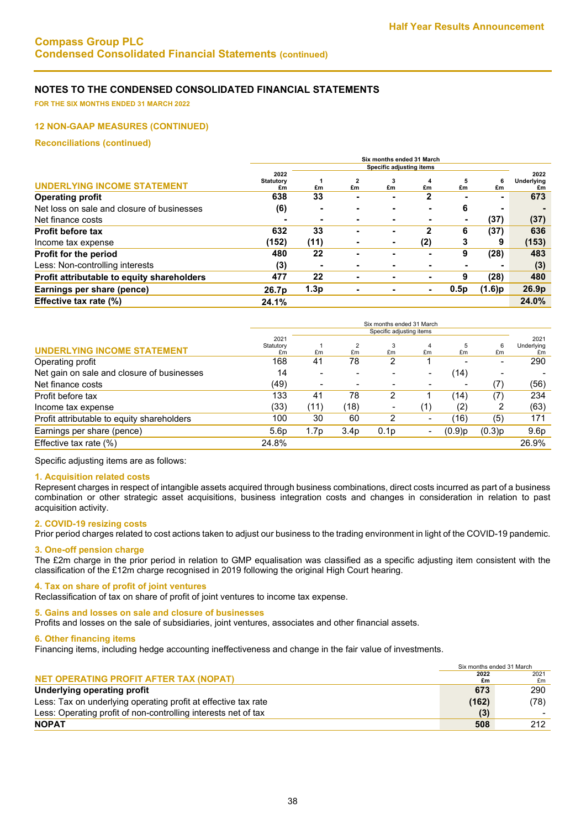**FOR THE SIX MONTHS ENDED 31 MARCH 2022** 

#### **12 NON-GAAP MEASURES (CONTINUED)**

**Reconciliations (continued)**

|                                            | Six months ended 31 March |      |                      |         |                |                          |        |                   |
|--------------------------------------------|---------------------------|------|----------------------|---------|----------------|--------------------------|--------|-------------------|
|                                            | Specific adjusting items  |      |                      |         |                |                          |        |                   |
|                                            | 2022                      |      |                      |         |                |                          |        | 2022              |
| <b>UNDERLYING INCOME STATEMENT</b>         | <b>Statutory</b><br>£m    | £m   | $\overline{2}$<br>£m | 3<br>£m | £m             | 5<br>£m                  | £m     | Underlying<br>£m  |
| <b>Operating profit</b>                    | 638                       | 33   |                      | -       |                |                          |        | 673               |
| Net loss on sale and closure of businesses | (6)                       |      |                      |         |                | 6                        |        |                   |
| Net finance costs                          | ۰                         |      | -                    |         | $\blacksquare$ | $\overline{\phantom{0}}$ | (37)   | (37)              |
| <b>Profit before tax</b>                   | 632                       | 33   | -                    | -       |                | 6                        | (37)   | 636               |
| Income tax expense                         | (152)                     | (11) | -                    | ۰       | (2)            | 3                        | 9      | (153)             |
| Profit for the period                      | 480                       | 22   |                      |         | -              | 9                        | (28)   | 483               |
| Less: Non-controlling interests            | (3)                       |      | -                    |         | $\blacksquare$ |                          | -      | (3)               |
| Profit attributable to equity shareholders | 477                       | 22   | -                    |         | ۰              | 9                        | (28)   | 480               |
| Earnings per share (pence)                 | 26.7p                     | 1.3p |                      |         | ۰              | 0.5p                     | (1.6)p | 26.9 <sub>p</sub> |
| Effective tax rate (%)                     | 24.1%                     |      |                      |         |                |                          |        | 24.0%             |
|                                            |                           |      |                      |         |                |                          |        |                   |

|                                            |                          |      |                  | Six months ended 31 March |                          |                          |        |                    |
|--------------------------------------------|--------------------------|------|------------------|---------------------------|--------------------------|--------------------------|--------|--------------------|
|                                            | Specific adjusting items |      |                  |                           |                          |                          |        |                    |
|                                            | 2021<br>Statutory        |      |                  |                           | 4                        | 5                        | 6      | 2021<br>Underlying |
| <b>UNDERLYING INCOME STATEMENT</b>         | £m                       | £m   | £m               | £m                        | £m                       | £m                       | £m     | £m                 |
| Operating profit                           | 168                      | 41   | 78               | 2                         |                          |                          |        | 290                |
| Net gain on sale and closure of businesses | 14                       |      |                  |                           | $\overline{\phantom{0}}$ | (14)                     |        |                    |
| Net finance costs                          | (49)                     | -    |                  |                           |                          | $\overline{\phantom{0}}$ | (7)    | (56)               |
| Profit before tax                          | 133                      | 41   | 78               | 2                         |                          | (14)                     | (7)    | 234                |
| Income tax expense                         | (33)                     | (11) | (18)             |                           | (1)                      | (2)                      |        | (63)               |
| Profit attributable to equity shareholders | 100                      | 30   | 60               | 2                         | $\overline{\phantom{0}}$ | (16)                     | (5)    | 171                |
| Earnings per share (pence)                 | 5.6 <sub>p</sub>         | 1.7p | 3.4 <sub>p</sub> | 0.1 <sub>p</sub>          |                          | $(0.9)$ p                | (0.3)p | 9.6 <sub>p</sub>   |
| Effective tax rate $(\%)$                  | 24.8%                    |      |                  |                           |                          |                          |        | 26.9%              |
|                                            |                          |      |                  |                           |                          |                          |        |                    |

Specific adjusting items are as follows:

#### **1. Acquisition related costs**

Represent charges in respect of intangible assets acquired through business combinations, direct costs incurred as part of a business combination or other strategic asset acquisitions, business integration costs and changes in consideration in relation to past acquisition activity.

#### **2. COVID-19 resizing costs**

Prior period charges related to cost actions taken to adjust our business to the trading environment in light of the COVID-19 pandemic.

#### **3. One-off pension charge**

The £2m charge in the prior period in relation to GMP equalisation was classified as a specific adjusting item consistent with the classification of the £12m charge recognised in 2019 following the original High Court hearing.

#### **4. Tax on share of profit of joint ventures**

Reclassification of tax on share of profit of joint ventures to income tax expense.

#### **5. Gains and losses on sale and closure of businesses**

Profits and losses on the sale of subsidiaries, joint ventures, associates and other financial assets.

**6. Other financing items**

Financing items, including hedge accounting ineffectiveness and change in the fair value of investments.

|                                                                | Six months ended 31 March |      |
|----------------------------------------------------------------|---------------------------|------|
|                                                                | 2022                      | 2021 |
| <b>NET OPERATING PROFIT AFTER TAX (NOPAT)</b>                  | £m                        | £m   |
| Underlying operating profit                                    | 673                       | 290  |
| Less: Tax on underlying operating profit at effective tax rate | (162)                     | (78) |
| Less: Operating profit of non-controlling interests net of tax | (3)                       |      |
| <b>NOPAT</b>                                                   | 508                       | 212  |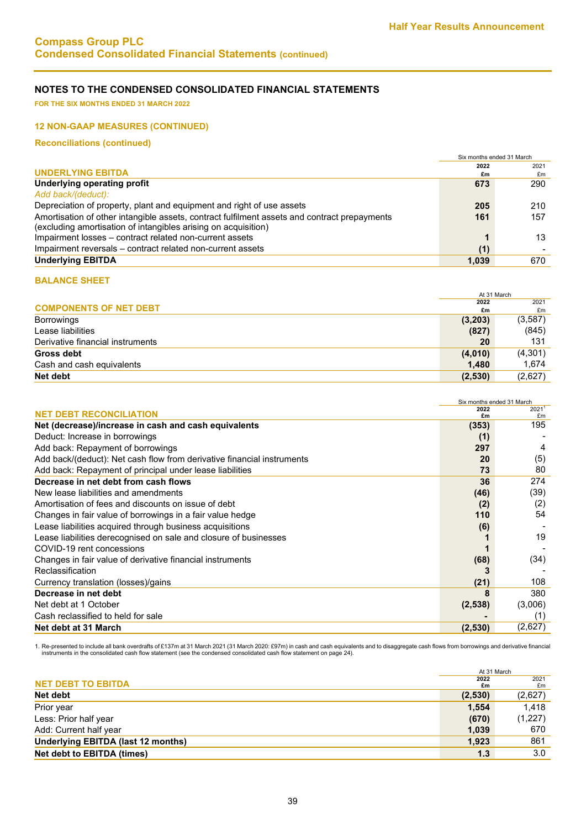**FOR THE SIX MONTHS ENDED 31 MARCH 2022**

### **12 NON-GAAP MEASURES (CONTINUED)**

**Reconciliations (continued)**

|                                                                                                     | 2021 |
|-----------------------------------------------------------------------------------------------------|------|
| 2022                                                                                                |      |
| <b>UNDERLYING EBITDA</b><br>£m                                                                      | £m   |
| <b>Underlying operating profit</b><br>673                                                           | 290  |
| Add back/(deduct):                                                                                  |      |
| Depreciation of property, plant and equipment and right of use assets<br>205                        | 210  |
| Amortisation of other intangible assets, contract fulfilment assets and contract prepayments<br>161 | 157  |
| (excluding amortisation of intangibles arising on acquisition)                                      |      |
| Impairment losses - contract related non-current assets                                             | 13   |
| Impairment reversals – contract related non-current assets<br>(1)                                   |      |
| <b>Underlying EBITDA</b><br>1,039                                                                   | 670  |

# **BALANCE SHEET**

|                                  | At 31 March |          |
|----------------------------------|-------------|----------|
|                                  | 2022        | 2021     |
| <b>COMPONENTS OF NET DEBT</b>    | £m          | £m       |
| <b>Borrowings</b>                | (3,203)     | (3, 587) |
| Lease liabilities                | (827)       | (845)    |
| Derivative financial instruments | 20          | 131      |
| <b>Gross debt</b>                | (4,010)     | (4,301)  |
| Cash and cash equivalents        | 1.480       | 1,674    |
| Net debt                         | (2,530)     | (2,627)  |

|                                                                        | Six months ended 31 March |         |
|------------------------------------------------------------------------|---------------------------|---------|
| <b>NET DEBT RECONCILIATION</b>                                         | 2022                      | 20211   |
|                                                                        | £m                        | £m      |
| Net (decrease)/increase in cash and cash equivalents                   | (353)                     | 195     |
| Deduct: Increase in borrowings                                         | (1)                       |         |
| Add back: Repayment of borrowings                                      | 297                       | 4       |
| Add back/(deduct): Net cash flow from derivative financial instruments | 20                        | (5)     |
| Add back: Repayment of principal under lease liabilities               | 73                        | 80      |
| Decrease in net debt from cash flows                                   | 36                        | 274     |
| New lease liabilities and amendments                                   | (46)                      | (39)    |
| Amortisation of fees and discounts on issue of debt                    | (2)                       | (2)     |
| Changes in fair value of borrowings in a fair value hedge              | 110                       | 54      |
| Lease liabilities acquired through business acquisitions               | (6)                       |         |
| Lease liabilities derecognised on sale and closure of businesses       |                           | 19      |
| COVID-19 rent concessions                                              |                           |         |
| Changes in fair value of derivative financial instruments              | (68)                      | (34)    |
| Reclassification                                                       |                           |         |
| Currency translation (losses)/gains                                    | (21)                      | 108     |
| Decrease in net debt                                                   |                           | 380     |
| Net debt at 1 October                                                  | (2, 538)                  | (3,006) |
| Cash reclassified to held for sale                                     |                           | (1)     |
| Net debt at 31 March                                                   | (2,530)                   | (2,627) |

1. Re-presented to include all bank overdrafts of £137m at 31 March 2021 (31 March 2020: £97m) in cash and cash equivalents and to disaggregate cash flows from borrowings and derivative financial<br>instruments in the consoli

|                                    | At 31 March |         |
|------------------------------------|-------------|---------|
|                                    | 2022        | 2021    |
| <b>NET DEBT TO EBITDA</b>          | £m          | £m      |
| Net debt                           | (2,530)     | (2,627) |
| Prior year                         | 1,554       | 1.418   |
| Less: Prior half year              | (670)       | (1,227) |
| Add: Current half year             | 1,039       | 670     |
| Underlying EBITDA (last 12 months) | 1,923       | 861     |
| Net debt to EBITDA (times)         | 1.3         | 3.0     |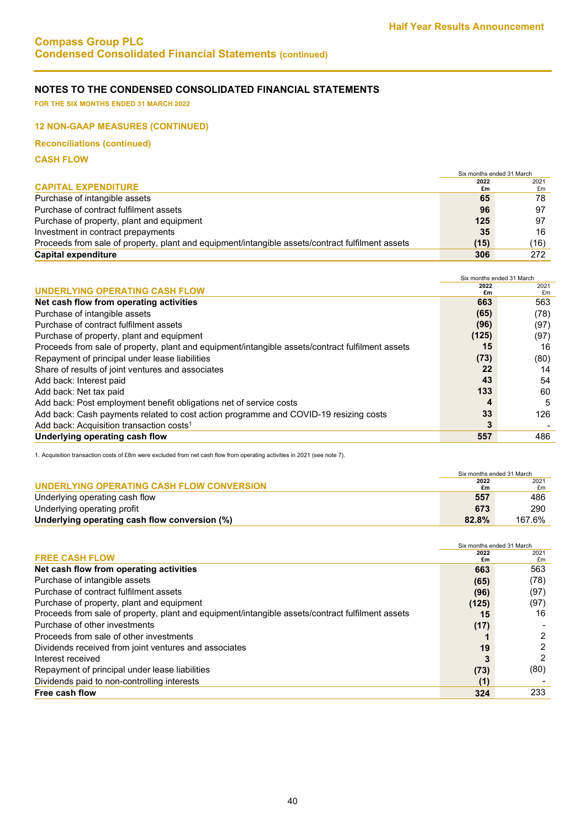**FOR THE SIX MONTHS ENDED 31 MARCH 2022**

### **12 NON-GAAP MEASURES (CONTINUED)**

**Reconciliations (continued)**

**CASH FLOW**

|                                                                                                  | Six months ended 31 March |      |
|--------------------------------------------------------------------------------------------------|---------------------------|------|
|                                                                                                  | 2022                      | 2021 |
| <b>CAPITAL EXPENDITURE</b>                                                                       | £m                        | £m   |
| Purchase of intangible assets                                                                    | 65                        | 78   |
| Purchase of contract fulfilment assets                                                           | 96                        | 97   |
| Purchase of property, plant and equipment                                                        | 125                       | 97   |
| Investment in contract prepayments                                                               | 35                        | 16   |
| Proceeds from sale of property, plant and equipment/intangible assets/contract fulfilment assets | (15)                      | (16) |
| <b>Capital expenditure</b>                                                                       | 306                       | 272  |

|                                                                                                  | Six months ended 31 March |                |
|--------------------------------------------------------------------------------------------------|---------------------------|----------------|
|                                                                                                  | 2022                      | 2021           |
| UNDERLYING OPERATING CASH FLOW                                                                   | £m                        | f <sub>m</sub> |
| Net cash flow from operating activities                                                          | 663                       | 563            |
| Purchase of intangible assets                                                                    | (65)                      | (78)           |
| Purchase of contract fulfilment assets                                                           | (96)                      | (97)           |
| Purchase of property, plant and equipment                                                        | (125)                     | (97)           |
| Proceeds from sale of property, plant and equipment/intangible assets/contract fulfilment assets | 15                        | 16             |
| Repayment of principal under lease liabilities                                                   | (73)                      | (80)           |
| Share of results of joint ventures and associates                                                | 22                        | 14             |
| Add back: Interest paid                                                                          | 43                        | 54             |
| Add back: Net tax paid                                                                           | 133                       | 60             |
| Add back: Post employment benefit obligations net of service costs                               |                           | 5              |
| Add back: Cash payments related to cost action programme and COVID-19 resizing costs             | 33                        | 126            |
| Add back: Acquisition transaction costs <sup>1</sup>                                             | 3                         |                |
| Underlying operating cash flow                                                                   | 557                       | 486            |

1. Acquisition transaction costs of £8m were excluded from net cash flow from operating activities in 2021 (see note 7).

|                                               | Six months ended 31 March |            |
|-----------------------------------------------|---------------------------|------------|
| UNDERLYING OPERATING CASH FLOW CONVERSION     | 2022<br>£m                | 2021<br>£m |
| Underlying operating cash flow                | 557                       | 486        |
| Underlying operating profit                   | 673                       | 290        |
| Underlying operating cash flow conversion (%) | 82.8%                     | 167.6%     |

|                                                                                                  | Six months ended 31 March |      |
|--------------------------------------------------------------------------------------------------|---------------------------|------|
| <b>FREE CASH FLOW</b>                                                                            | 2022                      | 2021 |
|                                                                                                  | £m                        | £m   |
| Net cash flow from operating activities                                                          | 663                       | 563  |
| Purchase of intangible assets                                                                    | (65)                      | (78) |
| Purchase of contract fulfilment assets                                                           | (96)                      | (97) |
| Purchase of property, plant and equipment                                                        | (125)                     | (97) |
| Proceeds from sale of property, plant and equipment/intangible assets/contract fulfilment assets | 15                        | 16   |
| Purchase of other investments                                                                    | (17)                      |      |
| Proceeds from sale of other investments                                                          |                           | 2    |
| Dividends received from joint ventures and associates                                            | 19                        |      |
| Interest received                                                                                |                           | っ    |
| Repayment of principal under lease liabilities                                                   | (73)                      | (80) |
| Dividends paid to non-controlling interests                                                      | (1)                       |      |
| Free cash flow                                                                                   | 324                       | 233  |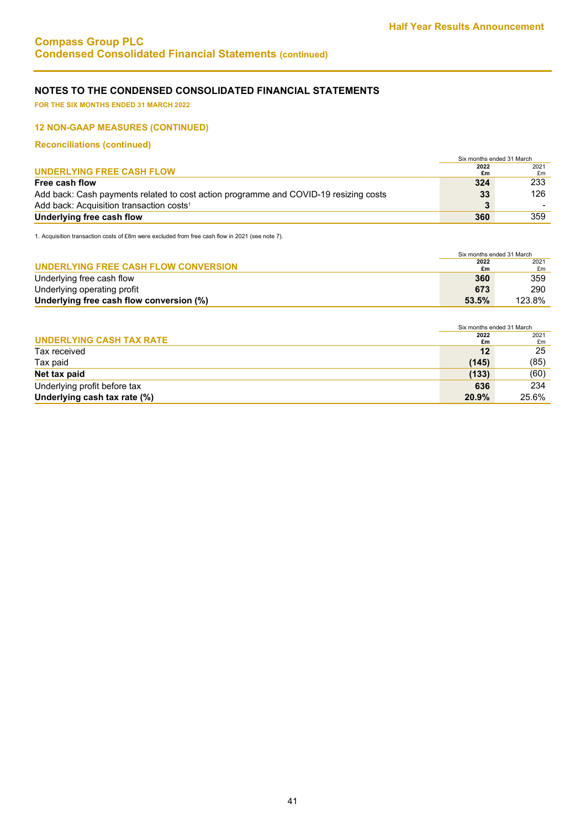**FOR THE SIX MONTHS ENDED 31 MARCH 2022**

### **12 NON-GAAP MEASURES (CONTINUED)**

**Reconciliations (continued)**

|                                                                                      | Six months ended 31 March |      |
|--------------------------------------------------------------------------------------|---------------------------|------|
|                                                                                      | 2022                      | 2021 |
| UNDERLYING FREE CASH FLOW                                                            | £m                        | £m   |
| Free cash flow                                                                       | 324                       | 233  |
| Add back: Cash payments related to cost action programme and COVID-19 resizing costs | 33                        | 126  |
| Add back: Acquisition transaction costs <sup>1</sup>                                 |                           |      |
| Underlying free cash flow                                                            | 360                       | 359  |

1. Acquisition transaction costs of £8m were excluded from free cash flow in 2021 (see note 7).

|                                          | Six months ended 31 March |        |
|------------------------------------------|---------------------------|--------|
|                                          | 2022                      | 2021   |
| UNDERLYING FREE CASH FLOW CONVERSION     | £m                        | £m     |
| Underlying free cash flow                | 360                       | 359    |
| Underlying operating profit              | 673                       | 290    |
| Underlying free cash flow conversion (%) | 53.5%                     | 123.8% |

|                              | Six months ended 31 March |            |
|------------------------------|---------------------------|------------|
| UNDERLYING CASH TAX RATE     | 2022<br>£m                | 2021<br>£m |
| Tax received                 | 12                        | 25         |
| Tax paid                     | (145)                     | (85)       |
| Net tax paid                 | (133)                     | (60)       |
| Underlying profit before tax | 636                       | 234        |
| Underlying cash tax rate (%) | 20.9%                     | 25.6%      |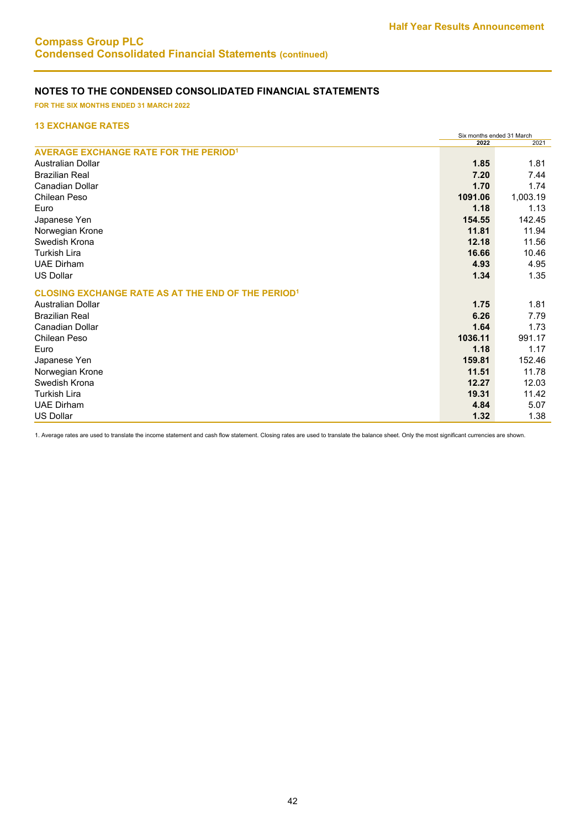**FOR THE SIX MONTHS ENDED 31 MARCH 2022**

# **13 EXCHANGE RATES**

|                                                           | Six months ended 31 March |          |
|-----------------------------------------------------------|---------------------------|----------|
|                                                           | 2022                      | 2021     |
| <b>AVERAGE EXCHANGE RATE FOR THE PERIOD<sup>1</sup></b>   |                           |          |
| Australian Dollar                                         | 1.85                      | 1.81     |
| <b>Brazilian Real</b>                                     | 7.20                      | 7.44     |
| <b>Canadian Dollar</b>                                    | 1.70                      | 1.74     |
| Chilean Peso                                              | 1091.06                   | 1,003.19 |
| Euro                                                      | 1.18                      | 1.13     |
| Japanese Yen                                              | 154.55                    | 142.45   |
| Norwegian Krone                                           | 11.81                     | 11.94    |
| Swedish Krona                                             | 12.18                     | 11.56    |
| <b>Turkish Lira</b>                                       | 16.66                     | 10.46    |
| <b>UAE Dirham</b>                                         | 4.93                      | 4.95     |
| <b>US Dollar</b>                                          | 1.34                      | 1.35     |
| <b>CLOSING EXCHANGE RATE AS AT THE END OF THE PERIOD1</b> |                           |          |
| <b>Australian Dollar</b>                                  | 1.75                      | 1.81     |
| <b>Brazilian Real</b>                                     | 6.26                      | 7.79     |
| <b>Canadian Dollar</b>                                    | 1.64                      | 1.73     |
| Chilean Peso                                              | 1036.11                   | 991.17   |
| Euro                                                      | 1.18                      | 1.17     |
| Japanese Yen                                              | 159.81                    | 152.46   |
| Norwegian Krone                                           | 11.51                     | 11.78    |
| Swedish Krona                                             | 12.27                     | 12.03    |
| <b>Turkish Lira</b>                                       | 19.31                     | 11.42    |
| <b>UAE Dirham</b>                                         | 4.84                      | 5.07     |
| <b>US Dollar</b>                                          | 1.32                      | 1.38     |

1. Average rates are used to translate the income statement and cash flow statement. Closing rates are used to translate the balance sheet. Only the most significant currencies are shown.